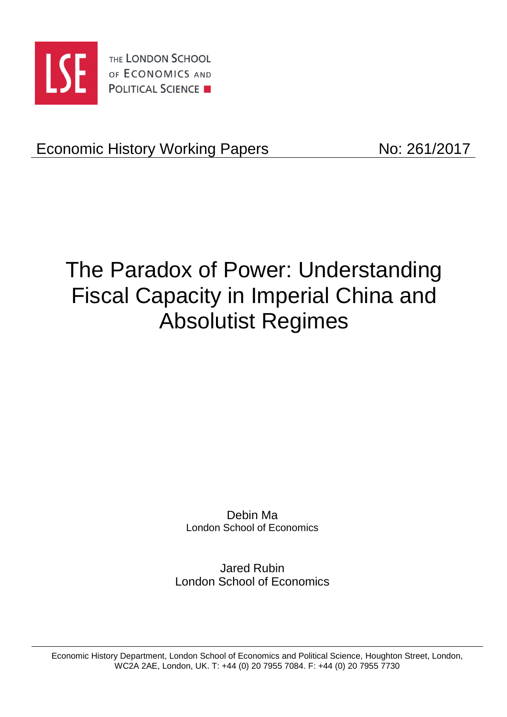

THE LONDON SCHOOL OF ECONOMICS AND **POLITICAL SCIENCE** 

Economic History Working Papers No: 261/2017

# The Paradox of Power: Understanding Fiscal Capacity in Imperial China and Absolutist Regimes

Debin Ma London School of Economics

Jared Rubin London School of Economics

Economic History Department, London School of Economics and Political Science, Houghton Street, London, WC2A 2AE, London, UK. T: +44 (0) 20 7955 7084. F: +44 (0) 20 7955 7730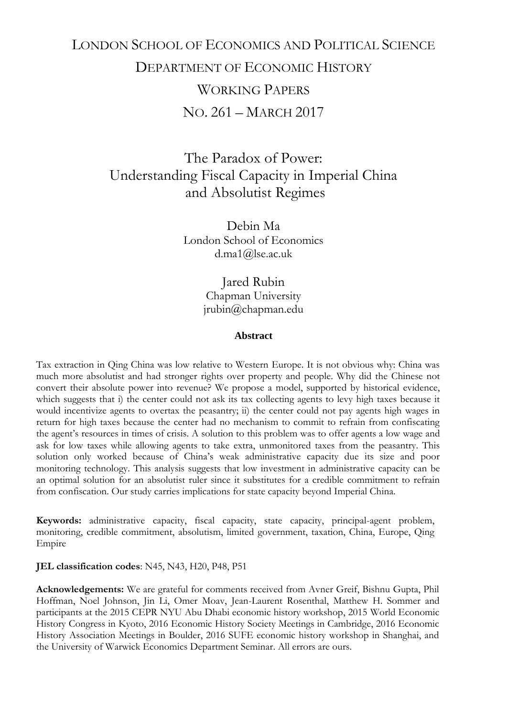## LONDON SCHOOL OF ECONOMICS AND POLITICAL SCIENCE DEPARTMENT OF ECONOMIC HISTORY WORKING PAPERS NO. 261 – MARCH 2017

## The Paradox of Power: Understanding Fiscal Capacity in Imperial China and Absolutist Regimes

Debin Ma London School of Economics d.ma1@lse.ac.uk

> Jared Rubin Chapman University jrubin@chapman.edu

#### **Abstract**

Tax extraction in Qing China was low relative to Western Europe. It is not obvious why: China was much more absolutist and had stronger rights over property and people. Why did the Chinese not convert their absolute power into revenue? We propose a model, supported by historical evidence, which suggests that i) the center could not ask its tax collecting agents to levy high taxes because it would incentivize agents to overtax the peasantry; ii) the center could not pay agents high wages in return for high taxes because the center had no mechanism to commit to refrain from confiscating the agent's resources in times of crisis. A solution to this problem was to offer agents a low wage and ask for low taxes while allowing agents to take extra, unmonitored taxes from the peasantry. This solution only worked because of China's weak administrative capacity due its size and poor monitoring technology. This analysis suggests that low investment in administrative capacity can be an optimal solution for an absolutist ruler since it substitutes for a credible commitment to refrain from confiscation. Our study carries implications for state capacity beyond Imperial China.

**Keywords:** administrative capacity, fiscal capacity, state capacity, principal-agent problem, monitoring, credible commitment, absolutism, limited government, taxation, China, Europe, Qing Empire

#### **JEL classification codes**: N45, N43, H20, P48, P51

**Acknowledgements:** We are grateful for comments received from Avner Greif, Bishnu Gupta, Phil Hoffman, Noel Johnson, Jin Li, Omer Moav, Jean-Laurent Rosenthal, Matthew H. Sommer and participants at the 2015 CEPR NYU Abu Dhabi economic history workshop, 2015 World Economic History Congress in Kyoto, 2016 Economic History Society Meetings in Cambridge, 2016 Economic History Association Meetings in Boulder, 2016 SUFE economic history workshop in Shanghai, and the University of Warwick Economics Department Seminar. All errors are ours.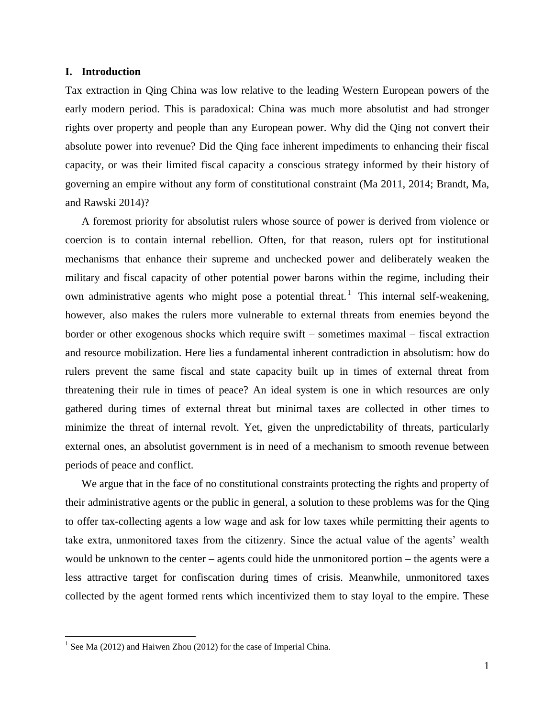#### **I. Introduction**

Tax extraction in Qing China was low relative to the leading Western European powers of the early modern period. This is paradoxical: China was much more absolutist and had stronger rights over property and people than any European power. Why did the Qing not convert their absolute power into revenue? Did the Qing face inherent impediments to enhancing their fiscal capacity, or was their limited fiscal capacity a conscious strategy informed by their history of governing an empire without any form of constitutional constraint (Ma 2011, 2014; Brandt, Ma, and Rawski 2014)?

A foremost priority for absolutist rulers whose source of power is derived from violence or coercion is to contain internal rebellion. Often, for that reason, rulers opt for institutional mechanisms that enhance their supreme and unchecked power and deliberately weaken the military and fiscal capacity of other potential power barons within the regime, including their own administrative agents who might pose a potential threat.<sup>1</sup> This internal self-weakening, however, also makes the rulers more vulnerable to external threats from enemies beyond the border or other exogenous shocks which require swift – sometimes maximal – fiscal extraction and resource mobilization. Here lies a fundamental inherent contradiction in absolutism: how do rulers prevent the same fiscal and state capacity built up in times of external threat from threatening their rule in times of peace? An ideal system is one in which resources are only gathered during times of external threat but minimal taxes are collected in other times to minimize the threat of internal revolt. Yet, given the unpredictability of threats, particularly external ones, an absolutist government is in need of a mechanism to smooth revenue between periods of peace and conflict.

We argue that in the face of no constitutional constraints protecting the rights and property of their administrative agents or the public in general, a solution to these problems was for the Qing to offer tax-collecting agents a low wage and ask for low taxes while permitting their agents to take extra, unmonitored taxes from the citizenry. Since the actual value of the agents' wealth would be unknown to the center – agents could hide the unmonitored portion – the agents were a less attractive target for confiscation during times of crisis. Meanwhile, unmonitored taxes collected by the agent formed rents which incentivized them to stay loyal to the empire. These

<sup>&</sup>lt;sup>1</sup> See Ma (2012) and Haiwen Zhou (2012) for the case of Imperial China.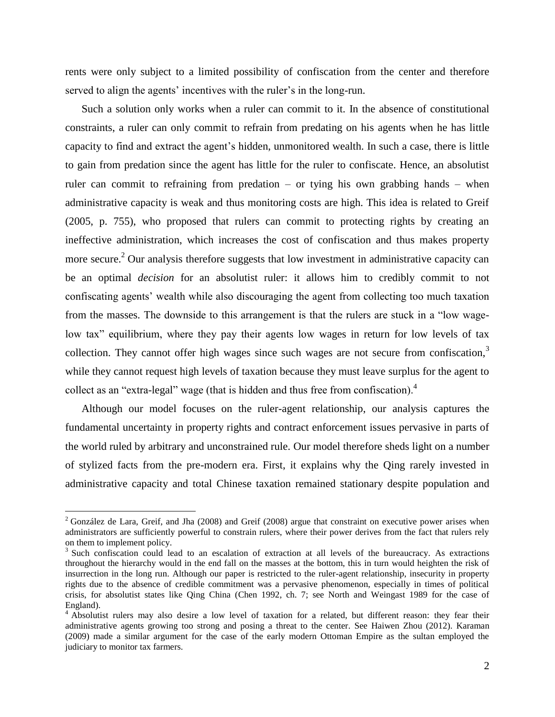rents were only subject to a limited possibility of confiscation from the center and therefore served to align the agents' incentives with the ruler's in the long-run.

Such a solution only works when a ruler can commit to it. In the absence of constitutional constraints, a ruler can only commit to refrain from predating on his agents when he has little capacity to find and extract the agent's hidden, unmonitored wealth. In such a case, there is little to gain from predation since the agent has little for the ruler to confiscate. Hence, an absolutist ruler can commit to refraining from predation – or tying his own grabbing hands – when administrative capacity is weak and thus monitoring costs are high. This idea is related to Greif (2005, p. 755), who proposed that rulers can commit to protecting rights by creating an ineffective administration, which increases the cost of confiscation and thus makes property more secure.<sup>2</sup> Our analysis therefore suggests that low investment in administrative capacity can be an optimal *decision* for an absolutist ruler: it allows him to credibly commit to not confiscating agents' wealth while also discouraging the agent from collecting too much taxation from the masses. The downside to this arrangement is that the rulers are stuck in a "low wagelow tax" equilibrium, where they pay their agents low wages in return for low levels of tax collection. They cannot offer high wages since such wages are not secure from confiscation,<sup>3</sup> while they cannot request high levels of taxation because they must leave surplus for the agent to collect as an "extra-legal" wage (that is hidden and thus free from confiscation).<sup>4</sup>

Although our model focuses on the ruler-agent relationship, our analysis captures the fundamental uncertainty in property rights and contract enforcement issues pervasive in parts of the world ruled by arbitrary and unconstrained rule. Our model therefore sheds light on a number of stylized facts from the pre-modern era. First, it explains why the Qing rarely invested in administrative capacity and total Chinese taxation remained stationary despite population and

 $2$  González de Lara, Greif, and Jha (2008) and Greif (2008) argue that constraint on executive power arises when administrators are sufficiently powerful to constrain rulers, where their power derives from the fact that rulers rely on them to implement policy.

<sup>&</sup>lt;sup>3</sup> Such confiscation could lead to an escalation of extraction at all levels of the bureaucracy. As extractions throughout the hierarchy would in the end fall on the masses at the bottom, this in turn would heighten the risk of insurrection in the long run. Although our paper is restricted to the ruler-agent relationship, insecurity in property rights due to the absence of credible commitment was a pervasive phenomenon, especially in times of political crisis, for absolutist states like Qing China (Chen 1992, ch. 7; see North and Weingast 1989 for the case of England).

<sup>&</sup>lt;sup>4</sup> Absolutist rulers may also desire a low level of taxation for a related, but different reason: they fear their administrative agents growing too strong and posing a threat to the center. See Haiwen Zhou (2012). Karaman (2009) made a similar argument for the case of the early modern Ottoman Empire as the sultan employed the judiciary to monitor tax farmers.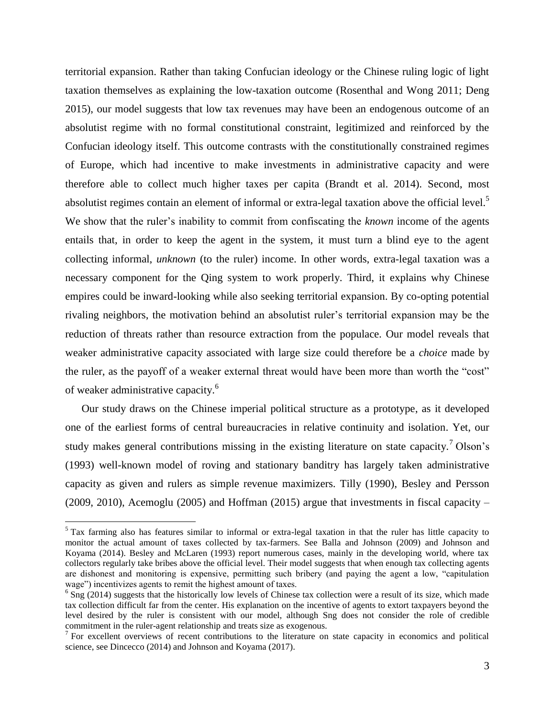territorial expansion. Rather than taking Confucian ideology or the Chinese ruling logic of light taxation themselves as explaining the low-taxation outcome (Rosenthal and Wong 2011; Deng 2015), our model suggests that low tax revenues may have been an endogenous outcome of an absolutist regime with no formal constitutional constraint, legitimized and reinforced by the Confucian ideology itself. This outcome contrasts with the constitutionally constrained regimes of Europe, which had incentive to make investments in administrative capacity and were therefore able to collect much higher taxes per capita (Brandt et al. 2014). Second, most absolutist regimes contain an element of informal or extra-legal taxation above the official level.<sup>5</sup> We show that the ruler's inability to commit from confiscating the *known* income of the agents entails that, in order to keep the agent in the system, it must turn a blind eye to the agent collecting informal, *unknown* (to the ruler) income. In other words, extra-legal taxation was a necessary component for the Qing system to work properly. Third, it explains why Chinese empires could be inward-looking while also seeking territorial expansion. By co-opting potential rivaling neighbors, the motivation behind an absolutist ruler's territorial expansion may be the reduction of threats rather than resource extraction from the populace. Our model reveals that weaker administrative capacity associated with large size could therefore be a *choice* made by the ruler, as the payoff of a weaker external threat would have been more than worth the "cost" of weaker administrative capacity.<sup>6</sup>

Our study draws on the Chinese imperial political structure as a prototype, as it developed one of the earliest forms of central bureaucracies in relative continuity and isolation. Yet, our study makes general contributions missing in the existing literature on state capacity.<sup>7</sup> Olson's (1993) well-known model of roving and stationary banditry has largely taken administrative capacity as given and rulers as simple revenue maximizers. Tilly (1990), Besley and Persson (2009, 2010), Acemoglu (2005) and Hoffman (2015) argue that investments in fiscal capacity –

<sup>&</sup>lt;sup>5</sup> Tax farming also has features similar to informal or extra-legal taxation in that the ruler has little capacity to monitor the actual amount of taxes collected by tax-farmers. See Balla and Johnson (2009) and Johnson and Koyama (2014). Besley and McLaren (1993) report numerous cases, mainly in the developing world, where tax collectors regularly take bribes above the official level. Their model suggests that when enough tax collecting agents are dishonest and monitoring is expensive, permitting such bribery (and paying the agent a low, "capitulation wage") incentivizes agents to remit the highest amount of taxes.

 $6$  Sng (2014) suggests that the historically low levels of Chinese tax collection were a result of its size, which made tax collection difficult far from the center. His explanation on the incentive of agents to extort taxpayers beyond the level desired by the ruler is consistent with our model, although Sng does not consider the role of credible commitment in the ruler-agent relationship and treats size as exogenous.<br><sup>7</sup> For excellent overviews of recent contributions to the literature on state capacity in economics and political

science, see Dincecco (2014) and Johnson and Koyama (2017).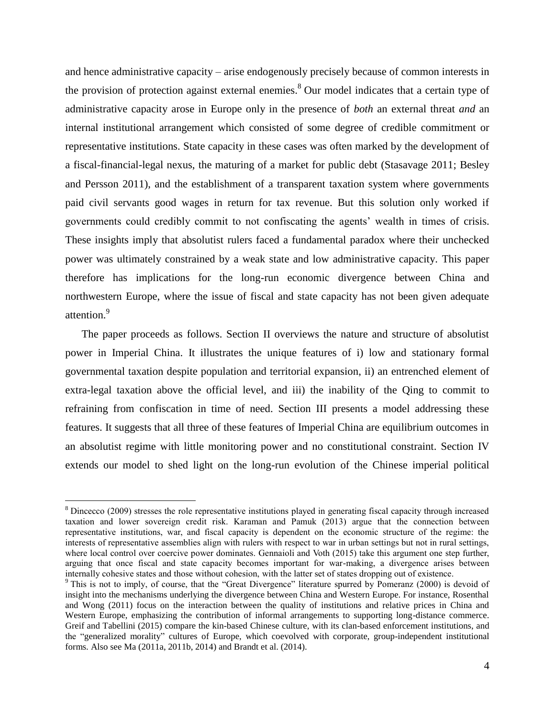and hence administrative capacity – arise endogenously precisely because of common interests in the provision of protection against external enemies.<sup>8</sup> Our model indicates that a certain type of administrative capacity arose in Europe only in the presence of *both* an external threat *and* an internal institutional arrangement which consisted of some degree of credible commitment or representative institutions. State capacity in these cases was often marked by the development of a fiscal-financial-legal nexus, the maturing of a market for public debt (Stasavage 2011; Besley and Persson 2011), and the establishment of a transparent taxation system where governments paid civil servants good wages in return for tax revenue. But this solution only worked if governments could credibly commit to not confiscating the agents' wealth in times of crisis. These insights imply that absolutist rulers faced a fundamental paradox where their unchecked power was ultimately constrained by a weak state and low administrative capacity. This paper therefore has implications for the long-run economic divergence between China and northwestern Europe, where the issue of fiscal and state capacity has not been given adequate attention.<sup>9</sup>

The paper proceeds as follows. Section II overviews the nature and structure of absolutist power in Imperial China. It illustrates the unique features of i) low and stationary formal governmental taxation despite population and territorial expansion, ii) an entrenched element of extra-legal taxation above the official level, and iii) the inability of the Qing to commit to refraining from confiscation in time of need. Section III presents a model addressing these features. It suggests that all three of these features of Imperial China are equilibrium outcomes in an absolutist regime with little monitoring power and no constitutional constraint. Section IV extends our model to shed light on the long-run evolution of the Chinese imperial political

<sup>8</sup> Dincecco (2009) stresses the role representative institutions played in generating fiscal capacity through increased taxation and lower sovereign credit risk. Karaman and Pamuk (2013) argue that the connection between representative institutions, war, and fiscal capacity is dependent on the economic structure of the regime: the interests of representative assemblies align with rulers with respect to war in urban settings but not in rural settings, where local control over coercive power dominates. Gennaioli and Voth (2015) take this argument one step further, arguing that once fiscal and state capacity becomes important for war-making, a divergence arises between internally cohesive states and those without cohesion, with the latter set of states dropping out of existence.

<sup>&</sup>lt;sup>9</sup> This is not to imply, of course, that the "Great Divergence" literature spurred by Pomeranz (2000) is devoid of insight into the mechanisms underlying the divergence between China and Western Europe. For instance, Rosenthal and Wong (2011) focus on the interaction between the quality of institutions and relative prices in China and Western Europe, emphasizing the contribution of informal arrangements to supporting long-distance commerce. Greif and Tabellini (2015) compare the kin-based Chinese culture, with its clan-based enforcement institutions, and the "generalized morality" cultures of Europe, which coevolved with corporate, group-independent institutional forms. Also see Ma (2011a, 2011b, 2014) and Brandt et al. (2014).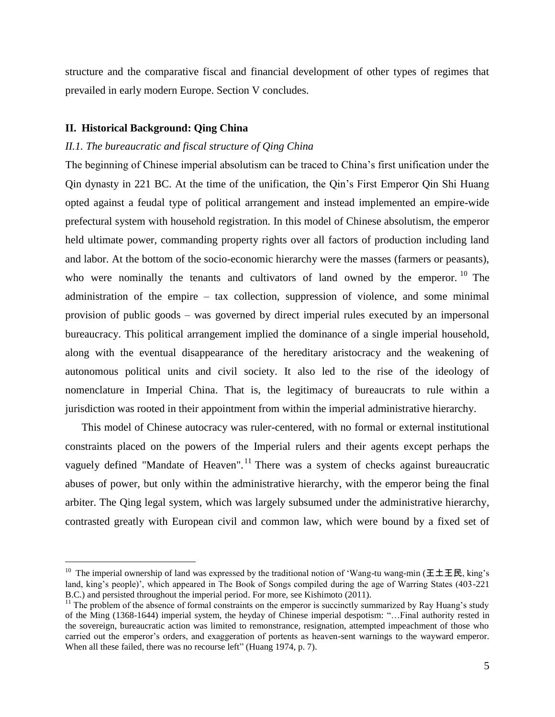structure and the comparative fiscal and financial development of other types of regimes that prevailed in early modern Europe. Section V concludes.

#### **II. Historical Background: Qing China**

 $\overline{a}$ 

#### *II.1. The bureaucratic and fiscal structure of Qing China*

The beginning of Chinese imperial absolutism can be traced to China's first unification under the Qin dynasty in 221 BC. At the time of the unification, the Qin's First Emperor Qin Shi Huang opted against a feudal type of political arrangement and instead implemented an empire-wide prefectural system with household registration. In this model of Chinese absolutism, the emperor held ultimate power, commanding property rights over all factors of production including land and labor. At the bottom of the socio-economic hierarchy were the masses (farmers or peasants), who were nominally the tenants and cultivators of land owned by the emperor.<sup>10</sup> The administration of the empire – tax collection, suppression of violence, and some minimal provision of public goods – was governed by direct imperial rules executed by an impersonal bureaucracy. This political arrangement implied the dominance of a single imperial household, along with the eventual disappearance of the hereditary aristocracy and the weakening of autonomous political units and civil society. It also led to the rise of the ideology of nomenclature in Imperial China. That is, the legitimacy of bureaucrats to rule within a jurisdiction was rooted in their appointment from within the imperial administrative hierarchy.

This model of Chinese autocracy was ruler-centered, with no formal or external institutional constraints placed on the powers of the Imperial rulers and their agents except perhaps the vaguely defined "Mandate of Heaven".<sup>11</sup> There was a system of checks against bureaucratic abuses of power, but only within the administrative hierarchy, with the emperor being the final arbiter. The Qing legal system, which was largely subsumed under the administrative hierarchy, contrasted greatly with European civil and common law, which were bound by a fixed set of

<sup>&</sup>lt;sup>10</sup> The imperial ownership of land was expressed by the traditional notion of 'Wang-tu wang-min ( $\pm \pm \pm \mathbb{R}$ , king's land, king's people)', which appeared in The Book of Songs compiled during the age of Warring States (403-221 B.C.) and persisted throughout the imperial period. For more, see Kishimoto (2011).

 $11$  The problem of the absence of formal constraints on the emperor is succinctly summarized by Ray Huang's study of the Ming (1368-1644) imperial system, the heyday of Chinese imperial despotism: "…Final authority rested in the sovereign, bureaucratic action was limited to remonstrance, resignation, attempted impeachment of those who carried out the emperor's orders, and exaggeration of portents as heaven-sent warnings to the wayward emperor. When all these failed, there was no recourse left" (Huang 1974, p. 7).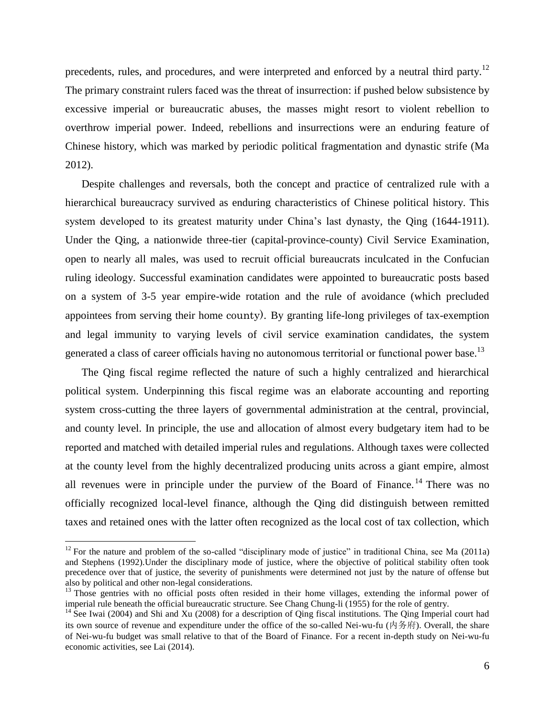precedents, rules, and procedures, and were interpreted and enforced by a neutral third party.<sup>12</sup> The primary constraint rulers faced was the threat of insurrection: if pushed below subsistence by excessive imperial or bureaucratic abuses, the masses might resort to violent rebellion to overthrow imperial power. Indeed, rebellions and insurrections were an enduring feature of Chinese history, which was marked by periodic political fragmentation and dynastic strife (Ma 2012).

Despite challenges and reversals, both the concept and practice of centralized rule with a hierarchical bureaucracy survived as enduring characteristics of Chinese political history. This system developed to its greatest maturity under China's last dynasty, the Qing (1644-1911). Under the Qing, a nationwide three-tier (capital-province-county) Civil Service Examination, open to nearly all males, was used to recruit official bureaucrats inculcated in the Confucian ruling ideology. Successful examination candidates were appointed to bureaucratic posts based on a system of 3-5 year empire-wide rotation and the rule of avoidance (which precluded appointees from serving their home county). By granting life-long privileges of tax-exemption and legal immunity to varying levels of civil service examination candidates, the system generated a class of career officials having no autonomous territorial or functional power base.<sup>13</sup>

The Qing fiscal regime reflected the nature of such a highly centralized and hierarchical political system. Underpinning this fiscal regime was an elaborate accounting and reporting system cross-cutting the three layers of governmental administration at the central, provincial, and county level. In principle, the use and allocation of almost every budgetary item had to be reported and matched with detailed imperial rules and regulations. Although taxes were collected at the county level from the highly decentralized producing units across a giant empire, almost all revenues were in principle under the purview of the Board of Finance. <sup>14</sup> There was no officially recognized local-level finance, although the Qing did distinguish between remitted taxes and retained ones with the latter often recognized as the local cost of tax collection, which

<sup>&</sup>lt;sup>12</sup> For the nature and problem of the so-called "disciplinary mode of justice" in traditional China, see Ma (2011a) and Stephens (1992).Under the disciplinary mode of justice, where the objective of political stability often took precedence over that of justice, the severity of punishments were determined not just by the nature of offense but also by political and other non-legal considerations.

<sup>&</sup>lt;sup>13</sup> Those gentries with no official posts often resided in their home villages, extending the informal power of imperial rule beneath the official bureaucratic structure. See Chang Chung-li (1955) for the role of gentry.

 $14$  See Iwai (2004) and Shi and Xu (2008) for a description of Qing fiscal institutions. The Qing Imperial court had its own source of revenue and expenditure under the office of the so-called Nei-wu-fu (内务府). Overall, the share of Nei-wu-fu budget was small relative to that of the Board of Finance. For a recent in-depth study on Nei-wu-fu economic activities, see Lai (2014).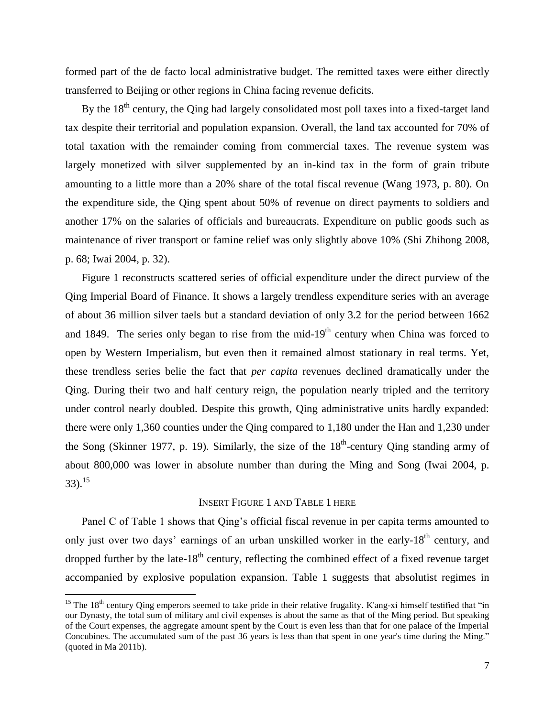formed part of the de facto local administrative budget. The remitted taxes were either directly transferred to Beijing or other regions in China facing revenue deficits.

By the  $18<sup>th</sup>$  century, the Qing had largely consolidated most poll taxes into a fixed-target land tax despite their territorial and population expansion. Overall, the land tax accounted for 70% of total taxation with the remainder coming from commercial taxes. The revenue system was largely monetized with silver supplemented by an in-kind tax in the form of grain tribute amounting to a little more than a 20% share of the total fiscal revenue (Wang 1973, p. 80). On the expenditure side, the Qing spent about 50% of revenue on direct payments to soldiers and another 17% on the salaries of officials and bureaucrats. Expenditure on public goods such as maintenance of river transport or famine relief was only slightly above 10% (Shi Zhihong 2008, p. 68; Iwai 2004, p. 32).

Figure 1 reconstructs scattered series of official expenditure under the direct purview of the Qing Imperial Board of Finance. It shows a largely trendless expenditure series with an average of about 36 million silver taels but a standard deviation of only 3.2 for the period between 1662 and 1849. The series only began to rise from the mid-19<sup>th</sup> century when China was forced to open by Western Imperialism, but even then it remained almost stationary in real terms. Yet, these trendless series belie the fact that *per capita* revenues declined dramatically under the Qing. During their two and half century reign, the population nearly tripled and the territory under control nearly doubled. Despite this growth, Qing administrative units hardly expanded: there were only 1,360 counties under the Qing compared to 1,180 under the Han and 1,230 under the Song (Skinner 1977, p. 19). Similarly, the size of the  $18<sup>th</sup>$ -century Qing standing army of about 800,000 was lower in absolute number than during the Ming and Song (Iwai 2004, p.  $33$ ).<sup>15</sup>

#### INSERT FIGURE 1 AND TABLE 1 HERE

Panel C of Table 1 shows that Qing's official fiscal revenue in per capita terms amounted to only just over two days' earnings of an urban unskilled worker in the early-18<sup>th</sup> century, and dropped further by the late-18<sup>th</sup> century, reflecting the combined effect of a fixed revenue target accompanied by explosive population expansion. Table 1 suggests that absolutist regimes in

<sup>&</sup>lt;sup>15</sup> The 18<sup>th</sup> century Qing emperors seemed to take pride in their relative frugality. K'ang-xi himself testified that "in our Dynasty, the total sum of military and civil expenses is about the same as that of the Ming period. But speaking of the Court expenses, the aggregate amount spent by the Court is even less than that for one palace of the Imperial Concubines. The accumulated sum of the past 36 years is less than that spent in one year's time during the Ming." (quoted in Ma 2011b).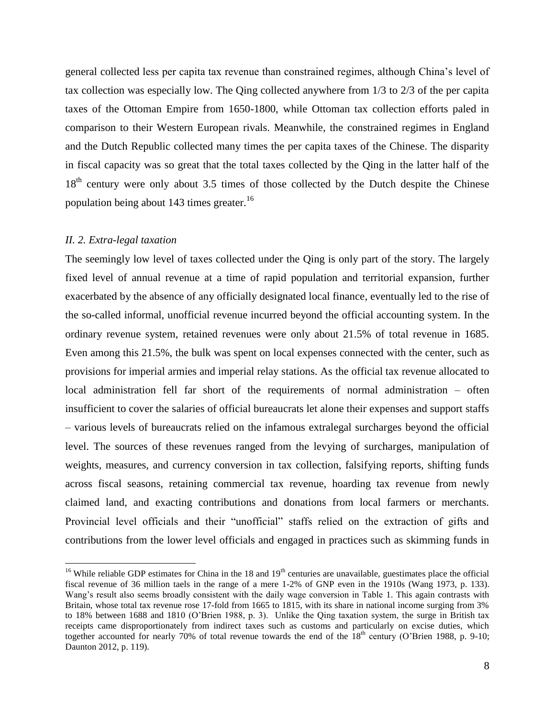general collected less per capita tax revenue than constrained regimes, although China's level of tax collection was especially low. The Qing collected anywhere from 1/3 to 2/3 of the per capita taxes of the Ottoman Empire from 1650-1800, while Ottoman tax collection efforts paled in comparison to their Western European rivals. Meanwhile, the constrained regimes in England and the Dutch Republic collected many times the per capita taxes of the Chinese. The disparity in fiscal capacity was so great that the total taxes collected by the Qing in the latter half of the 18<sup>th</sup> century were only about 3.5 times of those collected by the Dutch despite the Chinese population being about 143 times greater. 16

#### *II. 2. Extra-legal taxation*

 $\overline{a}$ 

The seemingly low level of taxes collected under the Qing is only part of the story. The largely fixed level of annual revenue at a time of rapid population and territorial expansion, further exacerbated by the absence of any officially designated local finance, eventually led to the rise of the so-called informal, unofficial revenue incurred beyond the official accounting system. In the ordinary revenue system, retained revenues were only about 21.5% of total revenue in 1685. Even among this 21.5%, the bulk was spent on local expenses connected with the center, such as provisions for imperial armies and imperial relay stations. As the official tax revenue allocated to local administration fell far short of the requirements of normal administration – often insufficient to cover the salaries of official bureaucrats let alone their expenses and support staffs – various levels of bureaucrats relied on the infamous extralegal surcharges beyond the official level. The sources of these revenues ranged from the levying of surcharges, manipulation of weights, measures, and currency conversion in tax collection, falsifying reports, shifting funds across fiscal seasons, retaining commercial tax revenue, hoarding tax revenue from newly claimed land, and exacting contributions and donations from local farmers or merchants. Provincial level officials and their "unofficial" staffs relied on the extraction of gifts and contributions from the lower level officials and engaged in practices such as skimming funds in

<sup>&</sup>lt;sup>16</sup> While reliable GDP estimates for China in the 18 and  $19<sup>th</sup>$  centuries are unavailable, guestimates place the official fiscal revenue of 36 million taels in the range of a mere 1-2% of GNP even in the 1910s (Wang 1973, p. 133). Wang's result also seems broadly consistent with the daily wage conversion in Table 1. This again contrasts with Britain, whose total tax revenue rose 17-fold from 1665 to 1815, with its share in national income surging from 3% to 18% between 1688 and 1810 (O'Brien 1988, p. 3). Unlike the Qing taxation system, the surge in British tax receipts came disproportionately from indirect taxes such as customs and particularly on excise duties, which together accounted for nearly 70% of total revenue towards the end of the  $18<sup>th</sup>$  century (O'Brien 1988, p. 9-10; Daunton 2012, p. 119).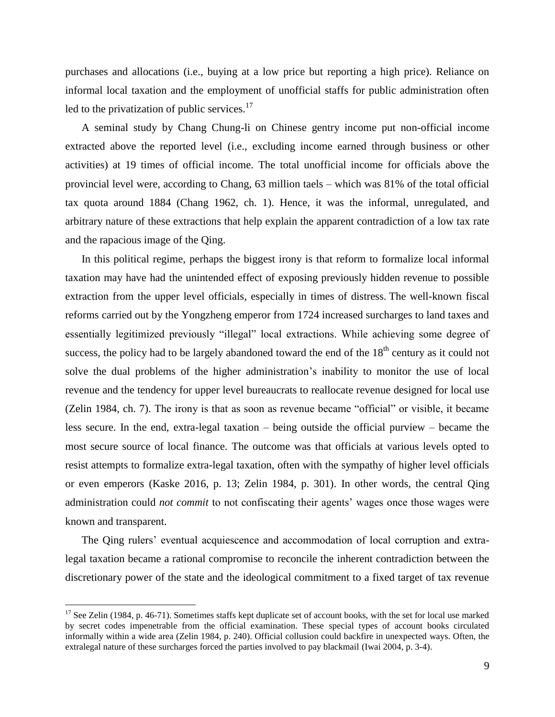purchases and allocations (i.e., buying at a low price but reporting a high price). Reliance on informal local taxation and the employment of unofficial staffs for public administration often led to the privatization of public services. $17$ 

A seminal study by Chang Chung-li on Chinese gentry income put non-official income extracted above the reported level (i.e., excluding income earned through business or other activities) at 19 times of official income. The total unofficial income for officials above the provincial level were, according to Chang, 63 million taels – which was 81% of the total official tax quota around 1884 (Chang 1962, ch. 1). Hence, it was the informal, unregulated, and arbitrary nature of these extractions that help explain the apparent contradiction of a low tax rate and the rapacious image of the Qing.

In this political regime, perhaps the biggest irony is that reform to formalize local informal taxation may have had the unintended effect of exposing previously hidden revenue to possible extraction from the upper level officials, especially in times of distress. The well-known fiscal reforms carried out by the Yongzheng emperor from 1724 increased surcharges to land taxes and essentially legitimized previously "illegal" local extractions. While achieving some degree of success, the policy had to be largely abandoned toward the end of the  $18<sup>th</sup>$  century as it could not solve the dual problems of the higher administration's inability to monitor the use of local revenue and the tendency for upper level bureaucrats to reallocate revenue designed for local use (Zelin 1984, ch. 7). The irony is that as soon as revenue became "official" or visible, it became less secure. In the end, extra-legal taxation – being outside the official purview – became the most secure source of local finance. The outcome was that officials at various levels opted to resist attempts to formalize extra-legal taxation, often with the sympathy of higher level officials or even emperors (Kaske 2016, p. 13; Zelin 1984, p. 301). In other words, the central Qing administration could *not commit* to not confiscating their agents' wages once those wages were known and transparent.

The Qing rulers' eventual acquiescence and accommodation of local corruption and extralegal taxation became a rational compromise to reconcile the inherent contradiction between the discretionary power of the state and the ideological commitment to a fixed target of tax revenue

 $17$  See Zelin (1984, p. 46-71). Sometimes staffs kept duplicate set of account books, with the set for local use marked by secret codes impenetrable from the official examination. These special types of account books circulated informally within a wide area (Zelin 1984, p. 240). Official collusion could backfire in unexpected ways. Often, the extralegal nature of these surcharges forced the parties involved to pay blackmail (Iwai 2004, p. 3-4).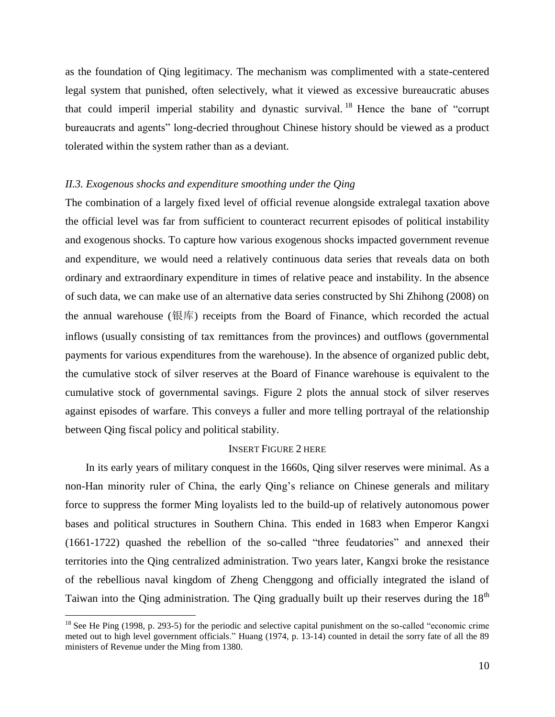as the foundation of Qing legitimacy. The mechanism was complimented with a state-centered legal system that punished, often selectively, what it viewed as excessive bureaucratic abuses that could imperil imperial stability and dynastic survival. <sup>18</sup> Hence the bane of "corrupt bureaucrats and agents" long-decried throughout Chinese history should be viewed as a product tolerated within the system rather than as a deviant.

#### *II.3. Exogenous shocks and expenditure smoothing under the Qing*

The combination of a largely fixed level of official revenue alongside extralegal taxation above the official level was far from sufficient to counteract recurrent episodes of political instability and exogenous shocks. To capture how various exogenous shocks impacted government revenue and expenditure, we would need a relatively continuous data series that reveals data on both ordinary and extraordinary expenditure in times of relative peace and instability. In the absence of such data, we can make use of an alternative data series constructed by Shi Zhihong (2008) on the annual warehouse (银库) receipts from the Board of Finance, which recorded the actual inflows (usually consisting of tax remittances from the provinces) and outflows (governmental payments for various expenditures from the warehouse). In the absence of organized public debt, the cumulative stock of silver reserves at the Board of Finance warehouse is equivalent to the cumulative stock of governmental savings. Figure 2 plots the annual stock of silver reserves against episodes of warfare. This conveys a fuller and more telling portrayal of the relationship between Qing fiscal policy and political stability.

#### INSERT FIGURE 2 HERE

In its early years of military conquest in the 1660s, Qing silver reserves were minimal. As a non-Han minority ruler of China, the early Qing's reliance on Chinese generals and military force to suppress the former Ming loyalists led to the build-up of relatively autonomous power bases and political structures in Southern China. This ended in 1683 when Emperor Kangxi (1661-1722) quashed the rebellion of the so-called "three feudatories" and annexed their territories into the Qing centralized administration. Two years later, Kangxi broke the resistance of the rebellious naval kingdom of Zheng Chenggong and officially integrated the island of Taiwan into the Qing administration. The Qing gradually built up their reserves during the 18<sup>th</sup>

 $18$  See He Ping (1998, p. 293-5) for the periodic and selective capital punishment on the so-called "economic crime" meted out to high level government officials." Huang (1974, p. 13-14) counted in detail the sorry fate of all the 89 ministers of Revenue under the Ming from 1380.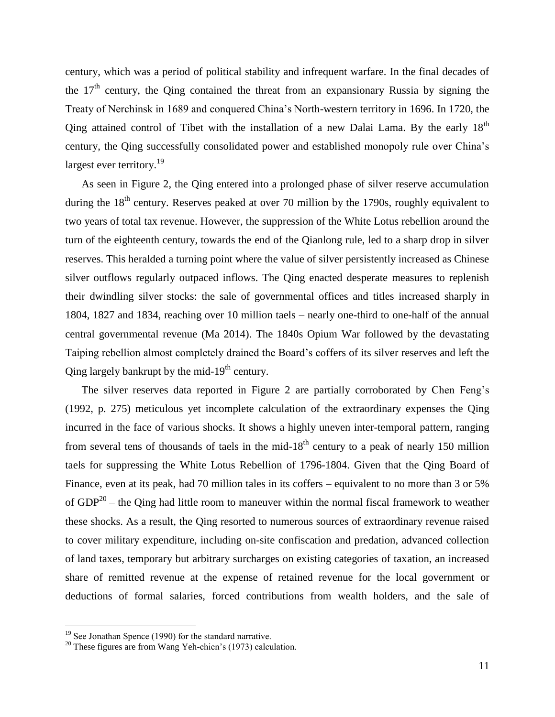century, which was a period of political stability and infrequent warfare. In the final decades of the  $17<sup>th</sup>$  century, the Oing contained the threat from an expansionary Russia by signing the Treaty of Nerchinsk in 1689 and conquered China's North-western territory in 1696. In 1720, the Qing attained control of Tibet with the installation of a new Dalai Lama. By the early  $18<sup>th</sup>$ century, the Qing successfully consolidated power and established monopoly rule over China's largest ever territory. $19$ 

As seen in Figure 2, the Qing entered into a prolonged phase of silver reserve accumulation during the  $18<sup>th</sup>$  century. Reserves peaked at over 70 million by the 1790s, roughly equivalent to two years of total tax revenue. However, the suppression of the White Lotus rebellion around the turn of the eighteenth century, towards the end of the Qianlong rule, led to a sharp drop in silver reserves. This heralded a turning point where the value of silver persistently increased as Chinese silver outflows regularly outpaced inflows. The Qing enacted desperate measures to replenish their dwindling silver stocks: the sale of governmental offices and titles increased sharply in 1804, 1827 and 1834, reaching over 10 million taels – nearly one-third to one-half of the annual central governmental revenue (Ma 2014). The 1840s Opium War followed by the devastating Taiping rebellion almost completely drained the Board's coffers of its silver reserves and left the Oing largely bankrupt by the mid- $19<sup>th</sup>$  century.

The silver reserves data reported in Figure 2 are partially corroborated by Chen Feng's (1992, p. 275) meticulous yet incomplete calculation of the extraordinary expenses the Qing incurred in the face of various shocks. It shows a highly uneven inter-temporal pattern, ranging from several tens of thousands of taels in the mid-18<sup>th</sup> century to a peak of nearly 150 million taels for suppressing the White Lotus Rebellion of 1796-1804. Given that the Qing Board of Finance, even at its peak, had 70 million tales in its coffers – equivalent to no more than 3 or 5% of  $GDP^{20}$  – the Qing had little room to maneuver within the normal fiscal framework to weather these shocks. As a result, the Qing resorted to numerous sources of extraordinary revenue raised to cover military expenditure, including on-site confiscation and predation, advanced collection of land taxes, temporary but arbitrary surcharges on existing categories of taxation, an increased share of remitted revenue at the expense of retained revenue for the local government or deductions of formal salaries, forced contributions from wealth holders, and the sale of

 $19$  See Jonathan Spence (1990) for the standard narrative.

<sup>&</sup>lt;sup>20</sup> These figures are from Wang Yeh-chien's (1973) calculation.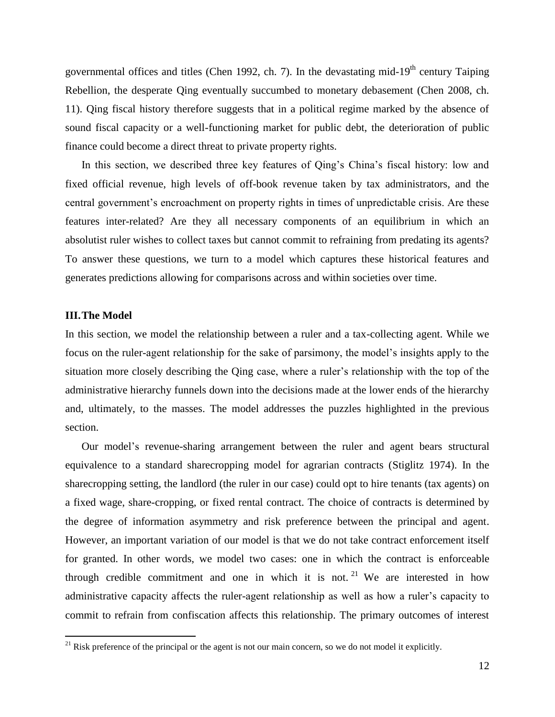governmental offices and titles (Chen 1992, ch. 7). In the devastating mid-19<sup>th</sup> century Taiping Rebellion, the desperate Qing eventually succumbed to monetary debasement (Chen 2008, ch. 11). Qing fiscal history therefore suggests that in a political regime marked by the absence of sound fiscal capacity or a well-functioning market for public debt, the deterioration of public finance could become a direct threat to private property rights.

In this section, we described three key features of Qing's China's fiscal history: low and fixed official revenue, high levels of off-book revenue taken by tax administrators, and the central government's encroachment on property rights in times of unpredictable crisis. Are these features inter-related? Are they all necessary components of an equilibrium in which an absolutist ruler wishes to collect taxes but cannot commit to refraining from predating its agents? To answer these questions, we turn to a model which captures these historical features and generates predictions allowing for comparisons across and within societies over time.

#### **III.The Model**

 $\overline{a}$ 

In this section, we model the relationship between a ruler and a tax-collecting agent. While we focus on the ruler-agent relationship for the sake of parsimony, the model's insights apply to the situation more closely describing the Qing case, where a ruler's relationship with the top of the administrative hierarchy funnels down into the decisions made at the lower ends of the hierarchy and, ultimately, to the masses. The model addresses the puzzles highlighted in the previous section.

Our model's revenue-sharing arrangement between the ruler and agent bears structural equivalence to a standard sharecropping model for agrarian contracts (Stiglitz 1974). In the sharecropping setting, the landlord (the ruler in our case) could opt to hire tenants (tax agents) on a fixed wage, share-cropping, or fixed rental contract. The choice of contracts is determined by the degree of information asymmetry and risk preference between the principal and agent. However, an important variation of our model is that we do not take contract enforcement itself for granted. In other words, we model two cases: one in which the contract is enforceable through credible commitment and one in which it is not.<sup>21</sup> We are interested in how administrative capacity affects the ruler-agent relationship as well as how a ruler's capacity to commit to refrain from confiscation affects this relationship. The primary outcomes of interest

<sup>&</sup>lt;sup>21</sup> Risk preference of the principal or the agent is not our main concern, so we do not model it explicitly.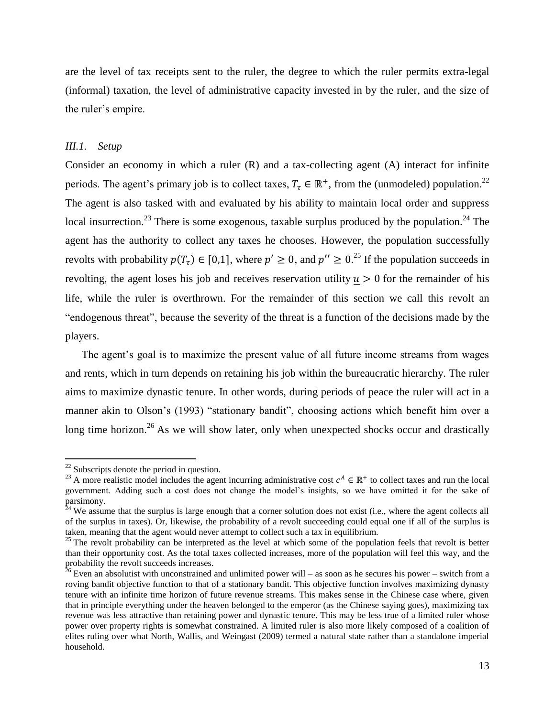are the level of tax receipts sent to the ruler, the degree to which the ruler permits extra-legal (informal) taxation, the level of administrative capacity invested in by the ruler, and the size of the ruler's empire.

#### *III.1. Setup*

Consider an economy in which a ruler (R) and a tax-collecting agent (A) interact for infinite periods. The agent's primary job is to collect taxes,  $T_{\tau} \in \mathbb{R}^+$ , from the (unmodeled) population.<sup>22</sup> The agent is also tasked with and evaluated by his ability to maintain local order and suppress local insurrection.<sup>23</sup> There is some exogenous, taxable surplus produced by the population.<sup>24</sup> The agent has the authority to collect any taxes he chooses. However, the population successfully revolts with probability  $p(T_\tau) \in [0,1]$ , where  $p' \ge 0$ , and  $p'' \ge 0$ .<sup>25</sup> If the population succeeds in revolting, the agent loses his job and receives reservation utility  $u > 0$  for the remainder of his life, while the ruler is overthrown. For the remainder of this section we call this revolt an "endogenous threat", because the severity of the threat is a function of the decisions made by the players.

The agent's goal is to maximize the present value of all future income streams from wages and rents, which in turn depends on retaining his job within the bureaucratic hierarchy. The ruler aims to maximize dynastic tenure. In other words, during periods of peace the ruler will act in a manner akin to Olson's (1993) "stationary bandit", choosing actions which benefit him over a long time horizon.<sup>26</sup> As we will show later, only when unexpected shocks occur and drastically

 $22$  Subscripts denote the period in question.

<sup>&</sup>lt;sup>23</sup> A more realistic model includes the agent incurring administrative cost  $c^A \in \mathbb{R}^+$  to collect taxes and run the local government. Adding such a cost does not change the model's insights, so we have omitted it for the sake of parsimony.

 $^{24}$  We assume that the surplus is large enough that a corner solution does not exist (i.e., where the agent collects all of the surplus in taxes). Or, likewise, the probability of a revolt succeeding could equal one if all of the surplus is taken, meaning that the agent would never attempt to collect such a tax in equilibrium.

 $25$  The revolt probability can be interpreted as the level at which some of the population feels that revolt is better than their opportunity cost. As the total taxes collected increases, more of the population will feel this way, and the probability the revolt succeeds increases.

 $26$  Even an absolutist with unconstrained and unlimited power will – as soon as he secures his power – switch from a roving bandit objective function to that of a stationary bandit. This objective function involves maximizing dynasty tenure with an infinite time horizon of future revenue streams. This makes sense in the Chinese case where, given that in principle everything under the heaven belonged to the emperor (as the Chinese saying goes), maximizing tax revenue was less attractive than retaining power and dynastic tenure. This may be less true of a limited ruler whose power over property rights is somewhat constrained. A limited ruler is also more likely composed of a coalition of elites ruling over what North, Wallis, and Weingast (2009) termed a natural state rather than a standalone imperial household.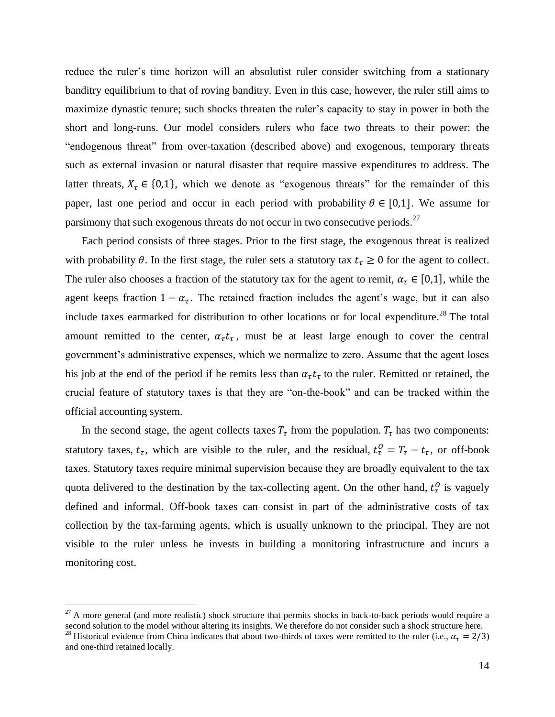reduce the ruler's time horizon will an absolutist ruler consider switching from a stationary banditry equilibrium to that of roving banditry. Even in this case, however, the ruler still aims to maximize dynastic tenure; such shocks threaten the ruler's capacity to stay in power in both the short and long-runs. Our model considers rulers who face two threats to their power: the "endogenous threat" from over-taxation (described above) and exogenous, temporary threats such as external invasion or natural disaster that require massive expenditures to address. The latter threats,  $X_{\tau} \in \{0,1\}$ , which we denote as "exogenous threats" for the remainder of this paper, last one period and occur in each period with probability  $\theta \in [0,1]$ . We assume for parsimony that such exogenous threats do not occur in two consecutive periods.<sup>27</sup>

Each period consists of three stages. Prior to the first stage, the exogenous threat is realized with probability  $\theta$ . In the first stage, the ruler sets a statutory tax  $t_{\tau} \geq 0$  for the agent to collect. The ruler also chooses a fraction of the statutory tax for the agent to remit,  $\alpha_{\tau} \in [0,1]$ , while the agent keeps fraction  $1 - \alpha_{\tau}$ . The retained fraction includes the agent's wage, but it can also include taxes earmarked for distribution to other locations or for local expenditure.<sup>28</sup> The total amount remitted to the center,  $\alpha_{\tau}t_{\tau}$ , must be at least large enough to cover the central government's administrative expenses, which we normalize to zero. Assume that the agent loses his job at the end of the period if he remits less than  $\alpha_{\tau}t_{\tau}$  to the ruler. Remitted or retained, the crucial feature of statutory taxes is that they are "on-the-book" and can be tracked within the official accounting system.

In the second stage, the agent collects taxes  $T_{\tau}$  from the population.  $T_{\tau}$  has two components: statutory taxes,  $t_{\tau}$ , which are visible to the ruler, and the residual,  $t_{\tau}^{0} = T_{\tau} - t_{\tau}$ , or off-book taxes. Statutory taxes require minimal supervision because they are broadly equivalent to the tax quota delivered to the destination by the tax-collecting agent. On the other hand,  $t_{\tau}^0$  is vaguely defined and informal. Off-book taxes can consist in part of the administrative costs of tax collection by the tax-farming agents, which is usually unknown to the principal. They are not visible to the ruler unless he invests in building a monitoring infrastructure and incurs a monitoring cost.

 $^{27}$  A more general (and more realistic) shock structure that permits shocks in back-to-back periods would require a second solution to the model without altering its insights. We therefore do not consider such a shock structure here.

<sup>&</sup>lt;sup>28</sup> Historical evidence from China indicates that about two-thirds of taxes were remitted to the ruler (i.e.,  $\alpha_{\tau} = 2/3$ ) and one-third retained locally.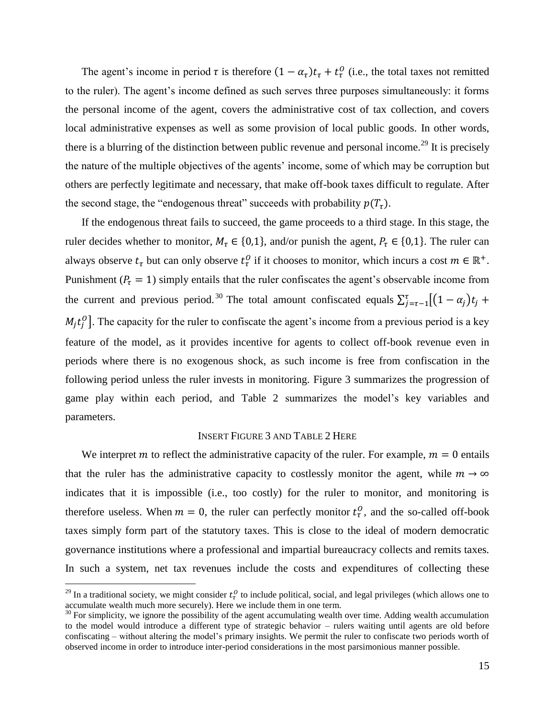The agent's income in period  $\tau$  is therefore  $(1 - \alpha_{\tau})t_{\tau} + t_{\tau}^{0}$  (i.e., the total taxes not remitted to the ruler). The agent's income defined as such serves three purposes simultaneously: it forms the personal income of the agent, covers the administrative cost of tax collection, and covers local administrative expenses as well as some provision of local public goods. In other words, there is a blurring of the distinction between public revenue and personal income.<sup>29</sup> It is precisely the nature of the multiple objectives of the agents' income, some of which may be corruption but others are perfectly legitimate and necessary, that make off-book taxes difficult to regulate. After the second stage, the "endogenous threat" succeeds with probability  $p(T<sub>\tau</sub>)$ .

If the endogenous threat fails to succeed, the game proceeds to a third stage. In this stage, the ruler decides whether to monitor,  $M_{\tau} \in \{0,1\}$ , and/or punish the agent,  $P_{\tau} \in \{0,1\}$ . The ruler can always observe  $t_{\tau}$  but can only observe  $t_{\tau}^{0}$  if it chooses to monitor, which incurs a cost  $m \in \mathbb{R}^{+}$ . Punishment ( $P_{\tau} = 1$ ) simply entails that the ruler confiscates the agent's observable income from the current and previous period.<sup>30</sup> The total amount confiscated equals  $\sum_{j=\tau-1}^{\tau} [(1 - \alpha_j)t_j +$  $M_j t_j^0$ . The capacity for the ruler to confiscate the agent's income from a previous period is a key feature of the model, as it provides incentive for agents to collect off-book revenue even in periods where there is no exogenous shock, as such income is free from confiscation in the following period unless the ruler invests in monitoring. Figure 3 summarizes the progression of game play within each period, and Table 2 summarizes the model's key variables and parameters.

#### INSERT FIGURE 3 AND TABLE 2 HERE

We interpret *m* to reflect the administrative capacity of the ruler. For example,  $m = 0$  entails that the ruler has the administrative capacity to costlessly monitor the agent, while  $m \to \infty$ indicates that it is impossible (i.e., too costly) for the ruler to monitor, and monitoring is therefore useless. When  $m = 0$ , the ruler can perfectly monitor  $t_i^0$ , and the so-called off-book taxes simply form part of the statutory taxes. This is close to the ideal of modern democratic governance institutions where a professional and impartial bureaucracy collects and remits taxes. In such a system, net tax revenues include the costs and expenditures of collecting these

<sup>&</sup>lt;sup>29</sup> In a traditional society, we might consider  $t_\tau^0$  to include political, social, and legal privileges (which allows one to accumulate wealth much more securely). Here we include them in one term.

 $30$  For simplicity, we ignore the possibility of the agent accumulating wealth over time. Adding wealth accumulation to the model would introduce a different type of strategic behavior – rulers waiting until agents are old before confiscating – without altering the model's primary insights. We permit the ruler to confiscate two periods worth of observed income in order to introduce inter-period considerations in the most parsimonious manner possible.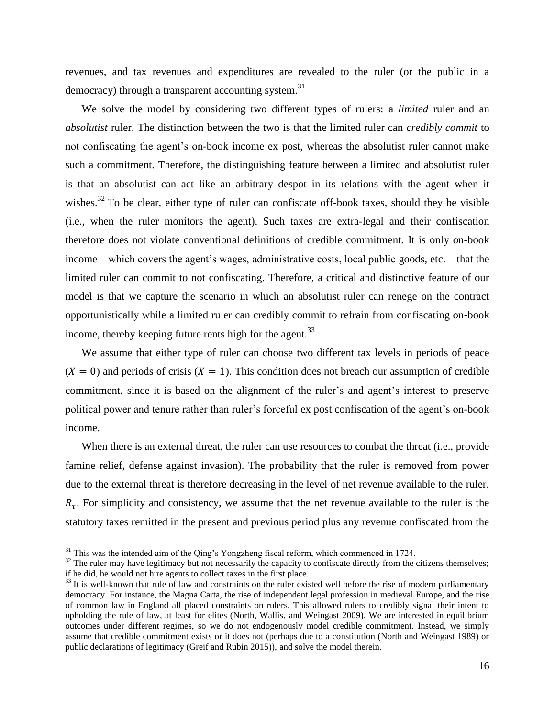revenues, and tax revenues and expenditures are revealed to the ruler (or the public in a democracy) through a transparent accounting system.<sup>31</sup>

We solve the model by considering two different types of rulers: a *limited* ruler and an *absolutist* ruler. The distinction between the two is that the limited ruler can *credibly commit* to not confiscating the agent's on-book income ex post, whereas the absolutist ruler cannot make such a commitment. Therefore, the distinguishing feature between a limited and absolutist ruler is that an absolutist can act like an arbitrary despot in its relations with the agent when it wishes.<sup>32</sup> To be clear, either type of ruler can confiscate off-book taxes, should they be visible (i.e., when the ruler monitors the agent). Such taxes are extra-legal and their confiscation therefore does not violate conventional definitions of credible commitment. It is only on-book income – which covers the agent's wages, administrative costs, local public goods, etc. – that the limited ruler can commit to not confiscating. Therefore, a critical and distinctive feature of our model is that we capture the scenario in which an absolutist ruler can renege on the contract opportunistically while a limited ruler can credibly commit to refrain from confiscating on-book income, thereby keeping future rents high for the agent. $33$ 

We assume that either type of ruler can choose two different tax levels in periods of peace  $(X = 0)$  and periods of crisis  $(X = 1)$ . This condition does not breach our assumption of credible commitment, since it is based on the alignment of the ruler's and agent's interest to preserve political power and tenure rather than ruler's forceful ex post confiscation of the agent's on-book income.

When there is an external threat, the ruler can use resources to combat the threat (i.e., provide famine relief, defense against invasion). The probability that the ruler is removed from power due to the external threat is therefore decreasing in the level of net revenue available to the ruler,  $R_{\tau}$ . For simplicity and consistency, we assume that the net revenue available to the ruler is the statutory taxes remitted in the present and previous period plus any revenue confiscated from the

 $31$  This was the intended aim of the Qing's Yongzheng fiscal reform, which commenced in 1724.

 $32$  The ruler may have legitimacy but not necessarily the capacity to confiscate directly from the citizens themselves; if he did, he would not hire agents to collect taxes in the first place.

 $33$  It is well-known that rule of law and constraints on the ruler existed well before the rise of modern parliamentary democracy. For instance, the Magna Carta, the rise of independent legal profession in medieval Europe, and the rise of common law in England all placed constraints on rulers. This allowed rulers to credibly signal their intent to upholding the rule of law, at least for elites (North, Wallis, and Weingast 2009). We are interested in equilibrium outcomes under different regimes, so we do not endogenously model credible commitment. Instead, we simply assume that credible commitment exists or it does not (perhaps due to a constitution (North and Weingast 1989) or public declarations of legitimacy (Greif and Rubin 2015)), and solve the model therein.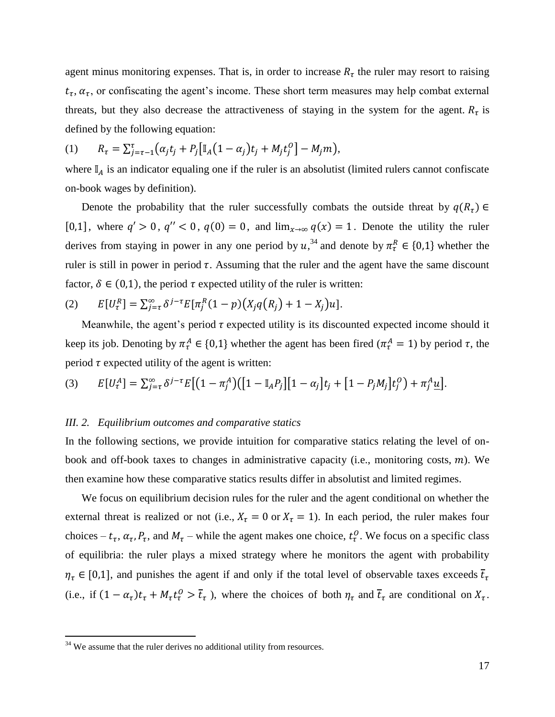agent minus monitoring expenses. That is, in order to increase  $R<sub>\tau</sub>$  the ruler may resort to raising  $t_{\tau}$ ,  $\alpha_{\tau}$ , or confiscating the agent's income. These short term measures may help combat external threats, but they also decrease the attractiveness of staying in the system for the agent.  $R_{\tau}$  is defined by the following equation:

$$
(1) \qquad R_{\tau} = \sum_{j=\tau-1}^{\tau} \big( \alpha_j t_j + P_j \big[ \mathbb{I}_A \big( 1 - \alpha_j \big) t_j + M_j t_j^0 \big] - M_j m \big),
$$

where  $\mathbb{I}_A$  is an indicator equaling one if the ruler is an absolutist (limited rulers cannot confiscate on-book wages by definition).

Denote the probability that the ruler successfully combats the outside threat by  $q(R_\tau) \in$ [0,1], where  $q' > 0$ ,  $q'' < 0$ ,  $q(0) = 0$ , and  $\lim_{x\to\infty} q(x) = 1$ . Denote the utility the ruler derives from staying in power in any one period by  $u^{34}$ , and denote by  $\pi^R_\tau \in \{0,1\}$  whether the ruler is still in power in period  $\tau$ . Assuming that the ruler and the agent have the same discount factor,  $\delta \in (0,1)$ , the period  $\tau$  expected utility of the ruler is written:

(2) 
$$
E[U_{\tau}^{R}] = \sum_{j=\tau}^{\infty} \delta^{j-\tau} E[\pi_{j}^{R}(1-p)(X_{j}q(R_{j})+1-X_{j})u].
$$

Meanwhile, the agent's period  $\tau$  expected utility is its discounted expected income should it keep its job. Denoting by  $\pi_{\tau}^{A} \in \{0,1\}$  whether the agent has been fired ( $\pi_{\tau}^{A} = 1$ ) by period  $\tau$ , the period  $\tau$  expected utility of the agent is written:

(3) 
$$
E[U_{\tau}^{A}] = \sum_{j=\tau}^{\infty} \delta^{j-\tau} E[(1-\pi_{j}^{A})([1-\mathbb{I}_{A}P_{j}][1-\alpha_{j}]t_{j} + [1-P_{j}M_{j}]t_{j}^{O}) + \pi_{j}^{A}\underline{u}].
$$

#### *III. 2. Equilibrium outcomes and comparative statics*

In the following sections, we provide intuition for comparative statics relating the level of onbook and off-book taxes to changes in administrative capacity (i.e., monitoring costs,  $m$ ). We then examine how these comparative statics results differ in absolutist and limited regimes.

We focus on equilibrium decision rules for the ruler and the agent conditional on whether the external threat is realized or not (i.e.,  $X_{\tau} = 0$  or  $X_{\tau} = 1$ ). In each period, the ruler makes four choices –  $t_{\tau}$ ,  $\alpha_{\tau}$ ,  $P_{\tau}$ , and  $M_{\tau}$  – while the agent makes one choice,  $t_{\tau}^{0}$ . We focus on a specific class of equilibria: the ruler plays a mixed strategy where he monitors the agent with probability  $\eta_{\tau} \in [0,1]$ , and punishes the agent if and only if the total level of observable taxes exceeds  $\overline{t}_{\tau}$ (i.e., if  $(1 - \alpha_{\tau})t_{\tau} + M_{\tau}t_{\tau}^{0} > \overline{t}_{\tau}$ ), where the choices of both  $\eta_{\tau}$  and  $\overline{t}_{\tau}$  are conditional on  $X_{\tau}$ .

 $34$  We assume that the ruler derives no additional utility from resources.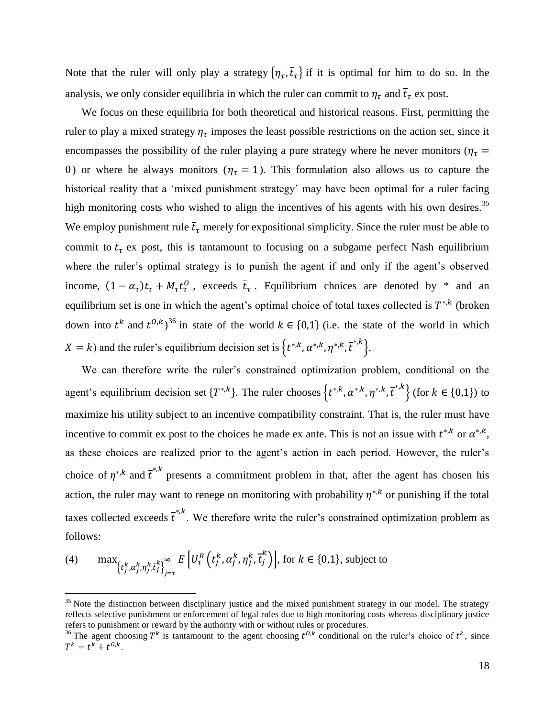Note that the ruler will only play a strategy  $\{\eta_\tau, \overline{t}_\tau\}$  if it is optimal for him to do so. In the analysis, we only consider equilibria in which the ruler can commit to  $\eta_{\tau}$  and  $\overline{t}_{\tau}$  ex post.

We focus on these equilibria for both theoretical and historical reasons. First, permitting the ruler to play a mixed strategy  $\eta_{\tau}$  imposes the least possible restrictions on the action set, since it encompasses the possibility of the ruler playing a pure strategy where he never monitors ( $\eta_{\tau}$  = 0) or where he always monitors ( $\eta_{\tau} = 1$ ). This formulation also allows us to capture the historical reality that a 'mixed punishment strategy' may have been optimal for a ruler facing high monitoring costs who wished to align the incentives of his agents with his own desires.<sup>35</sup> We employ punishment rule  $\bar{t}_{\tau}$  merely for expositional simplicity. Since the ruler must be able to commit to  $\overline{t}_\tau$  ex post, this is tantamount to focusing on a subgame perfect Nash equilibrium where the ruler's optimal strategy is to punish the agent if and only if the agent's observed income,  $(1 - \alpha_{\tau})t_{\tau} + M_{\tau}t_{\tau}^{0}$ , exceeds  $\overline{t}_{\tau}$ . Equilibrium choices are denoted by \* and an equilibrium set is one in which the agent's optimal choice of total taxes collected is  $T^{*,k}$  (broken down into  $t^k$  and  $t^{0,k}$ <sup>36</sup> in state of the world  $k \in \{0,1\}$  (i.e. the state of the world in which  $X = k$ ) and the ruler's equilibrium decision set is  $\{t^{*,k}, \alpha^{*,k}, \eta^{*,k}, \overline{t}^{*,k}\}.$ 

We can therefore write the ruler's constrained optimization problem, conditional on the agent's equilibrium decision set  $\{T^{*,k}\}$ . The ruler chooses  $\{t^{*,k}, \alpha^{*,k}, \eta^{*,k}, \overline{t}^{*,k}\}$  (for  $k \in \{0,1\}$ ) to maximize his utility subject to an incentive compatibility constraint. That is, the ruler must have incentive to commit ex post to the choices he made ex ante. This is not an issue with  $t^{*,k}$  or  $\alpha^{*,k}$ , as these choices are realized prior to the agent's action in each period. However, the ruler's choice of  $\eta^{*,k}$  and  $\overline{t}^{*,k}$  presents a commitment problem in that, after the agent has chosen his action, the ruler may want to renege on monitoring with probability  $\eta^{*,k}$  or punishing if the total taxes collected exceeds  $\overline{t}^{*,k}$ . We therefore write the ruler's constrained optimization problem as follows:

(4) 
$$
\max_{\left\{t_j^k, \alpha_j^k, \eta_j^k, \overline{t}_j^k\right\}_{j=\tau}} E\left[U_\tau^R\left(t_j^k, \alpha_j^k, \eta_j^k, \overline{t}_j^k\right)\right], \text{ for } k \in \{0,1\}, \text{ subject to}
$$

 $35$  Note the distinction between disciplinary justice and the mixed punishment strategy in our model. The strategy reflects selective punishment or enforcement of legal rules due to high monitoring costs whereas disciplinary justice refers to punishment or reward by the authority with or without rules or procedures.

<sup>&</sup>lt;sup>36</sup> The agent choosing  $T^k$  is tantamount to the agent choosing  $t^{0,k}$  conditional on the ruler's choice of  $t^k$ , since  $T^k = t^k + t^{0,k}.$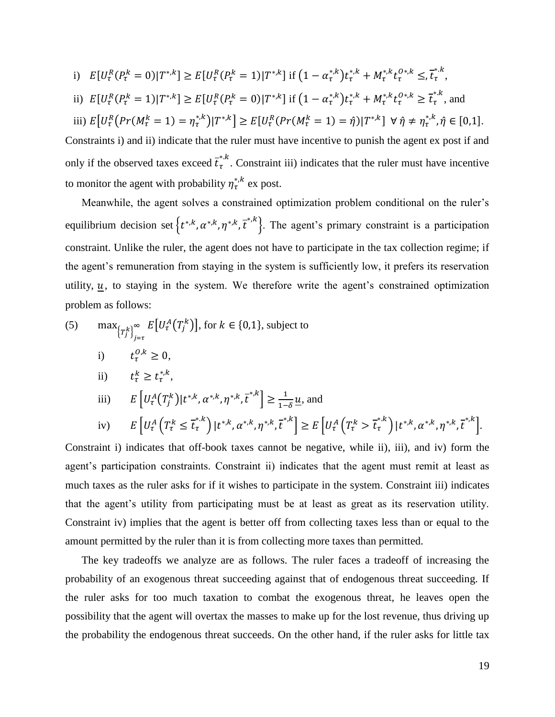i) 
$$
E[U_\tau^R(P_\tau^k = 0)|T^{*,k}] \ge E[U_\tau^R(P_\tau^k = 1)|T^{*,k}]
$$
 if  $(1 - \alpha_\tau^{*,k})t_\tau^{*,k} + M_\tau^{*,k}t_\tau^{0*,k} \leq \overline{t}_\tau^{*,k}$ 

ii) 
$$
E[U_{\tau}^{R}(P_{\tau}^{k}=1)|T^{*,k}] \ge E[U_{\tau}^{R}(P_{\tau}^{k}=0)|T^{*,k}]
$$
 if  $(1-\alpha_{\tau}^{*,k})t_{\tau}^{*,k} + M_{\tau}^{*,k}t_{\tau}^{0^{*,k}} \ge \overline{t}_{\tau}^{*,k}$ , and

iii)  $E[U_{\tau}^{R}(Pr(M_{\tau}^{k}=1)=\eta_{\tau}^{*,k})|T^{*,k}] \geq E[U_{\tau}^{R}(Pr(M_{\tau}^{k}=1)=\hat{\eta})|T^{*,k}] \ \forall \ \hat{\eta} \neq \eta_{\tau}^{*,k}, \hat{\eta} \in [0,1].$ 

Constraints i) and ii) indicate that the ruler must have incentive to punish the agent ex post if and only if the observed taxes exceed  $\overline{t}_{\tau}^{*,k}$ . Constraint iii) indicates that the ruler must have incentive to monitor the agent with probability  $\eta_{\tau}^{*,k}$  ex post.

Meanwhile, the agent solves a constrained optimization problem conditional on the ruler's equilibrium decision set  $\{t^{*,k}, \alpha^{*,k}, \pi^{*,k}, \overline{t}^{*,k}\}$ . The agent's primary constraint is a participation constraint. Unlike the ruler, the agent does not have to participate in the tax collection regime; if the agent's remuneration from staying in the system is sufficiently low, it prefers its reservation utility,  $u$ , to staying in the system. We therefore write the agent's constrained optimization problem as follows:

(5) 
$$
\max_{\left\{T_j^k\right\}_{j=\tau}} \mathbb{E}\left[U_{\tau}^A(T_j^k)\right], \text{ for } k \in \{0,1\}, \text{ subject to}
$$
\n(i) 
$$
t_{\tau}^{0,k} \ge 0,
$$
\nii) 
$$
t_{\tau}^k \ge t_{\tau}^{*,k},
$$
\niii) 
$$
E\left[U_{\tau}^A(T_j^k)|t^{*,k}, \alpha^{*,k}, \eta^{*,k}, \overline{t}^{*,k}\right] \ge \frac{1}{1-\delta}\underline{u}, \text{ and}
$$
\niv) 
$$
E\left[U_{\tau}^A\left(T_{\tau}^k \le \overline{t}_{\tau}^{*,k}\right)|t^{*,k}, \alpha^{*,k}, \eta^{*,k}, \overline{t}^{*,k}\right] \ge E\left[U_{\tau}^A\left(T_{\tau}^k > \overline{t}_{\tau}^{*,k}\right)|t^{*,k}, \alpha^{*,k}, \eta^{*,k}, \overline{t}^{*,k}\right].
$$

Constraint i) indicates that off-book taxes cannot be negative, while ii), iii), and iv) form the agent's participation constraints. Constraint ii) indicates that the agent must remit at least as much taxes as the ruler asks for if it wishes to participate in the system. Constraint iii) indicates that the agent's utility from participating must be at least as great as its reservation utility. Constraint iv) implies that the agent is better off from collecting taxes less than or equal to the amount permitted by the ruler than it is from collecting more taxes than permitted.

The key tradeoffs we analyze are as follows. The ruler faces a tradeoff of increasing the probability of an exogenous threat succeeding against that of endogenous threat succeeding. If the ruler asks for too much taxation to combat the exogenous threat, he leaves open the possibility that the agent will overtax the masses to make up for the lost revenue, thus driving up the probability the endogenous threat succeeds. On the other hand, if the ruler asks for little tax

,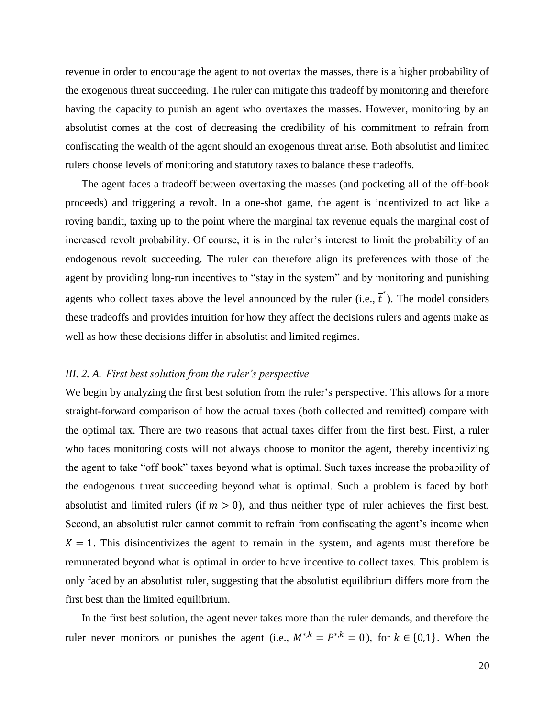revenue in order to encourage the agent to not overtax the masses, there is a higher probability of the exogenous threat succeeding. The ruler can mitigate this tradeoff by monitoring and therefore having the capacity to punish an agent who overtaxes the masses. However, monitoring by an absolutist comes at the cost of decreasing the credibility of his commitment to refrain from confiscating the wealth of the agent should an exogenous threat arise. Both absolutist and limited rulers choose levels of monitoring and statutory taxes to balance these tradeoffs.

The agent faces a tradeoff between overtaxing the masses (and pocketing all of the off-book proceeds) and triggering a revolt. In a one-shot game, the agent is incentivized to act like a roving bandit, taxing up to the point where the marginal tax revenue equals the marginal cost of increased revolt probability. Of course, it is in the ruler's interest to limit the probability of an endogenous revolt succeeding. The ruler can therefore align its preferences with those of the agent by providing long-run incentives to "stay in the system" and by monitoring and punishing agents who collect taxes above the level announced by the ruler (i.e.,  $\overline{t}^*$ ). The model considers these tradeoffs and provides intuition for how they affect the decisions rulers and agents make as well as how these decisions differ in absolutist and limited regimes.

#### *III. 2. A. First best solution from the ruler's perspective*

We begin by analyzing the first best solution from the ruler's perspective. This allows for a more straight-forward comparison of how the actual taxes (both collected and remitted) compare with the optimal tax. There are two reasons that actual taxes differ from the first best. First, a ruler who faces monitoring costs will not always choose to monitor the agent, thereby incentivizing the agent to take "off book" taxes beyond what is optimal. Such taxes increase the probability of the endogenous threat succeeding beyond what is optimal. Such a problem is faced by both absolutist and limited rulers (if  $m > 0$ ), and thus neither type of ruler achieves the first best. Second, an absolutist ruler cannot commit to refrain from confiscating the agent's income when  $X = 1$ . This disincentivizes the agent to remain in the system, and agents must therefore be remunerated beyond what is optimal in order to have incentive to collect taxes. This problem is only faced by an absolutist ruler, suggesting that the absolutist equilibrium differs more from the first best than the limited equilibrium.

In the first best solution, the agent never takes more than the ruler demands, and therefore the ruler never monitors or punishes the agent (i.e.,  $M^{*,k} = P^{*,k} = 0$ ), for  $k \in \{0,1\}$ . When the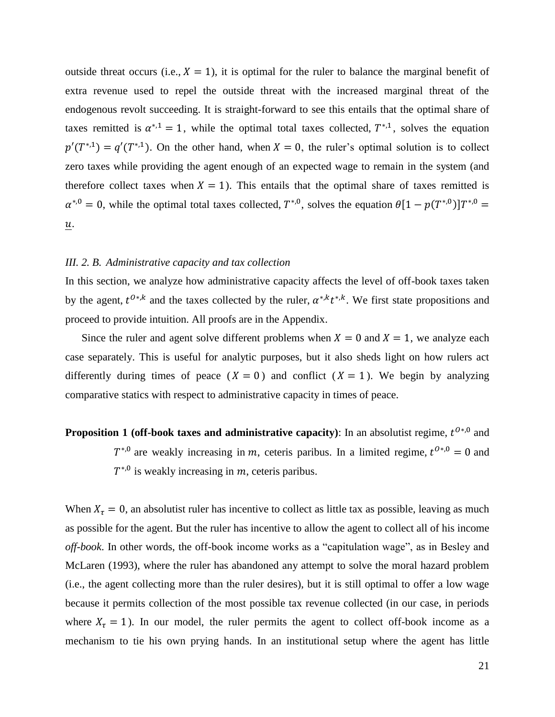outside threat occurs (i.e.,  $X = 1$ ), it is optimal for the ruler to balance the marginal benefit of extra revenue used to repel the outside threat with the increased marginal threat of the endogenous revolt succeeding. It is straight-forward to see this entails that the optimal share of taxes remitted is  $\alpha^{*,1} = 1$ , while the optimal total taxes collected,  $T^{*,1}$ , solves the equation  $p'(T^{*1}) = q'(T^{*1})$ . On the other hand, when  $X = 0$ , the ruler's optimal solution is to collect zero taxes while providing the agent enough of an expected wage to remain in the system (and therefore collect taxes when  $X = 1$ ). This entails that the optimal share of taxes remitted is  $\alpha^{*,0} = 0$ , while the optimal total taxes collected,  $T^{*,0}$ , solves the equation  $\theta[1 - p(T^{*,0})]T^{*,0} =$ u.

#### *III. 2. B. Administrative capacity and tax collection*

In this section, we analyze how administrative capacity affects the level of off-book taxes taken by the agent,  $t^{0*,k}$  and the taxes collected by the ruler,  $\alpha^{*,k} t^{*,k}$ . We first state propositions and proceed to provide intuition. All proofs are in the Appendix.

Since the ruler and agent solve different problems when  $X = 0$  and  $X = 1$ , we analyze each case separately. This is useful for analytic purposes, but it also sheds light on how rulers act differently during times of peace ( $X = 0$ ) and conflict ( $X = 1$ ). We begin by analyzing comparative statics with respect to administrative capacity in times of peace.

**Proposition 1 (off-book taxes and administrative capacity):** In an absolutist regime,  $t^{0*,0}$  and  $T^{*,0}$  are weakly increasing in m, ceteris paribus. In a limited regime,  $t^{0*,0} = 0$  and  $T^{*,0}$  is weakly increasing in m, ceteris paribus.

When  $X_{\tau} = 0$ , an absolutist ruler has incentive to collect as little tax as possible, leaving as much as possible for the agent. But the ruler has incentive to allow the agent to collect all of his income *off-book*. In other words, the off-book income works as a "capitulation wage", as in Besley and McLaren (1993), where the ruler has abandoned any attempt to solve the moral hazard problem (i.e., the agent collecting more than the ruler desires), but it is still optimal to offer a low wage because it permits collection of the most possible tax revenue collected (in our case, in periods where  $X<sub>\tau</sub> = 1$ ). In our model, the ruler permits the agent to collect off-book income as a mechanism to tie his own prying hands. In an institutional setup where the agent has little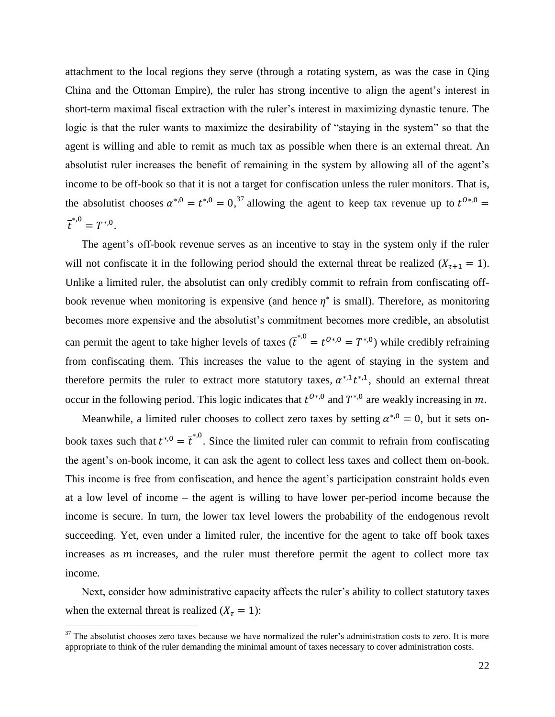attachment to the local regions they serve (through a rotating system, as was the case in Qing China and the Ottoman Empire), the ruler has strong incentive to align the agent's interest in short-term maximal fiscal extraction with the ruler's interest in maximizing dynastic tenure. The logic is that the ruler wants to maximize the desirability of "staying in the system" so that the agent is willing and able to remit as much tax as possible when there is an external threat. An absolutist ruler increases the benefit of remaining in the system by allowing all of the agent's income to be off-book so that it is not a target for confiscation unless the ruler monitors. That is, the absolutist chooses  $\alpha^{*,0} = t^{*,0} = 0$ ,<sup>37</sup> allowing the agent to keep tax revenue up to  $t^{0*,0} =$  $\overline{t}^{*,0} = T^{*,0}.$ 

The agent's off-book revenue serves as an incentive to stay in the system only if the ruler will not confiscate it in the following period should the external threat be realized  $(X_{\tau+1} = 1)$ . Unlike a limited ruler, the absolutist can only credibly commit to refrain from confiscating offbook revenue when monitoring is expensive (and hence  $\eta^*$  is small). Therefore, as monitoring becomes more expensive and the absolutist's commitment becomes more credible, an absolutist can permit the agent to take higher levels of taxes  $(\overline{t}^{*,0} = t^{0*,0} = T^{*,0})$  while credibly refraining from confiscating them. This increases the value to the agent of staying in the system and therefore permits the ruler to extract more statutory taxes,  $\alpha^{*,1}t^{*,1}$ , should an external threat occur in the following period. This logic indicates that  $t^{0*,0}$  and  $T^{*,0}$  are weakly increasing in m.

Meanwhile, a limited ruler chooses to collect zero taxes by setting  $\alpha^{*,0} = 0$ , but it sets onbook taxes such that  $t^{*,0} = \overline{t}^{*,0}$ . Since the limited ruler can commit to refrain from confiscating the agent's on-book income, it can ask the agent to collect less taxes and collect them on-book. This income is free from confiscation, and hence the agent's participation constraint holds even at a low level of income – the agent is willing to have lower per-period income because the income is secure. In turn, the lower tax level lowers the probability of the endogenous revolt succeeding. Yet, even under a limited ruler, the incentive for the agent to take off book taxes increases as  $m$  increases, and the ruler must therefore permit the agent to collect more tax income.

Next, consider how administrative capacity affects the ruler's ability to collect statutory taxes when the external threat is realized  $(X<sub>\tau</sub> = 1)$ :

 $37$  The absolutist chooses zero taxes because we have normalized the ruler's administration costs to zero. It is more appropriate to think of the ruler demanding the minimal amount of taxes necessary to cover administration costs.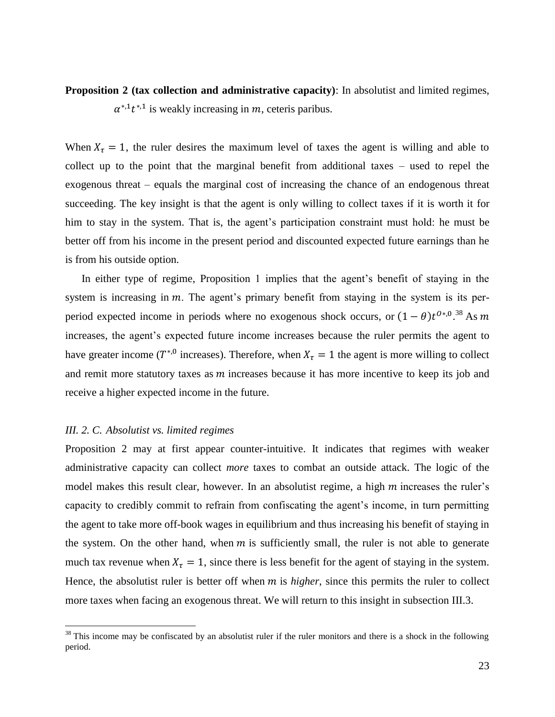## **Proposition 2 (tax collection and administrative capacity)**: In absolutist and limited regimes,  $\alpha^{*,1} t^{*,1}$  is weakly increasing in m, ceteris paribus.

When  $X_{\tau} = 1$ , the ruler desires the maximum level of taxes the agent is willing and able to collect up to the point that the marginal benefit from additional taxes – used to repel the exogenous threat – equals the marginal cost of increasing the chance of an endogenous threat succeeding. The key insight is that the agent is only willing to collect taxes if it is worth it for him to stay in the system. That is, the agent's participation constraint must hold: he must be better off from his income in the present period and discounted expected future earnings than he is from his outside option.

In either type of regime, Proposition 1 implies that the agent's benefit of staying in the system is increasing in  $m$ . The agent's primary benefit from staying in the system is its perperiod expected income in periods where no exogenous shock occurs, or  $(1 - \theta)t^{0.08}$ . As m increases, the agent's expected future income increases because the ruler permits the agent to have greater income ( $T^{*,0}$  increases). Therefore, when  $X_{\tau} = 1$  the agent is more willing to collect and remit more statutory taxes as  *increases because it has more incentive to keep its job and* receive a higher expected income in the future.

#### *III. 2. C. Absolutist vs. limited regimes*

 $\overline{a}$ 

Proposition 2 may at first appear counter-intuitive. It indicates that regimes with weaker administrative capacity can collect *more* taxes to combat an outside attack. The logic of the model makes this result clear, however. In an absolutist regime, a high  $m$  increases the ruler's capacity to credibly commit to refrain from confiscating the agent's income, in turn permitting the agent to take more off-book wages in equilibrium and thus increasing his benefit of staying in the system. On the other hand, when  $m$  is sufficiently small, the ruler is not able to generate much tax revenue when  $X_{\tau} = 1$ , since there is less benefit for the agent of staying in the system. Hence, the absolutist ruler is better off when m is *higher*, since this permits the ruler to collect more taxes when facing an exogenous threat. We will return to this insight in subsection III.3.

 $38$  This income may be confiscated by an absolutist ruler if the ruler monitors and there is a shock in the following period.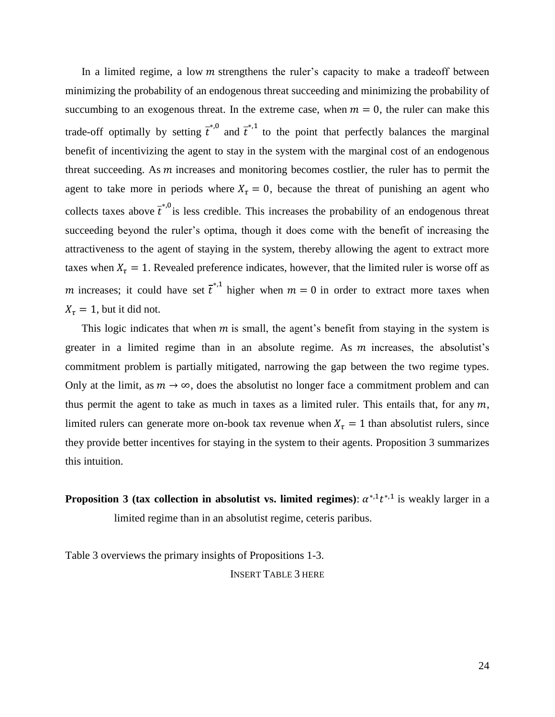In a limited regime, a low  $m$  strengthens the ruler's capacity to make a tradeoff between minimizing the probability of an endogenous threat succeeding and minimizing the probability of succumbing to an exogenous threat. In the extreme case, when  $m = 0$ , the ruler can make this trade-off optimally by setting  $\bar{t}^{*,0}$  and  $\bar{t}^{*,1}$  to the point that perfectly balances the marginal benefit of incentivizing the agent to stay in the system with the marginal cost of an endogenous threat succeeding. As  *increases and monitoring becomes costlier, the ruler has to permit the* agent to take more in periods where  $X<sub>\tau</sub> = 0$ , because the threat of punishing an agent who collects taxes above  $\overline{t}^{*,0}$  is less credible. This increases the probability of an endogenous threat succeeding beyond the ruler's optima, though it does come with the benefit of increasing the attractiveness to the agent of staying in the system, thereby allowing the agent to extract more taxes when  $X_{\tau} = 1$ . Revealed preference indicates, however, that the limited ruler is worse off as *m* increases; it could have set  $\overline{t}^{*1}$  higher when  $m = 0$  in order to extract more taxes when  $X_{\tau} = 1$ , but it did not.

This logic indicates that when  $m$  is small, the agent's benefit from staying in the system is greater in a limited regime than in an absolute regime. As  $m$  increases, the absolutist's commitment problem is partially mitigated, narrowing the gap between the two regime types. Only at the limit, as  $m \to \infty$ , does the absolutist no longer face a commitment problem and can thus permit the agent to take as much in taxes as a limited ruler. This entails that, for any  $m$ , limited rulers can generate more on-book tax revenue when  $X<sub>\tau</sub> = 1$  than absolutist rulers, since they provide better incentives for staying in the system to their agents. Proposition 3 summarizes this intuition.

**Proposition 3 (tax collection in absolutist vs. limited regimes):**  $\alpha^{*,1}t^{*,1}$  is weakly larger in a limited regime than in an absolutist regime, ceteris paribus.

Table 3 overviews the primary insights of Propositions 1-3. INSERT TABLE 3 HERE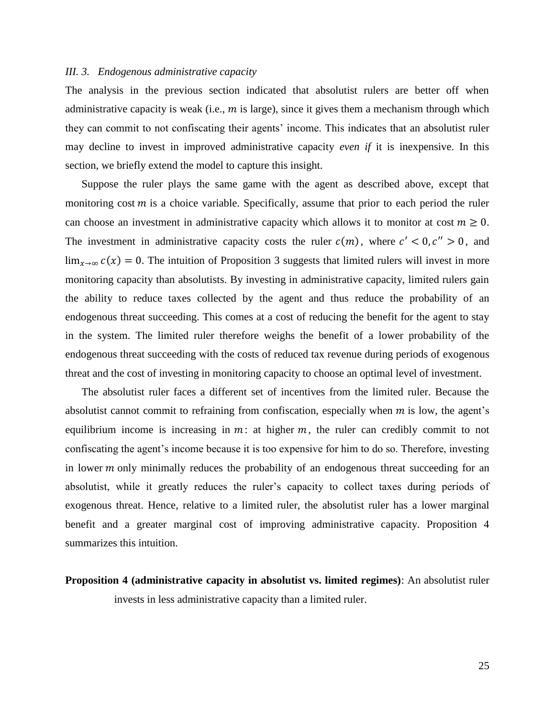#### *III. 3. Endogenous administrative capacity*

The analysis in the previous section indicated that absolutist rulers are better off when administrative capacity is weak (i.e.,  $m$  is large), since it gives them a mechanism through which they can commit to not confiscating their agents' income. This indicates that an absolutist ruler may decline to invest in improved administrative capacity *even if* it is inexpensive. In this section, we briefly extend the model to capture this insight.

Suppose the ruler plays the same game with the agent as described above, except that monitoring cost  $m$  is a choice variable. Specifically, assume that prior to each period the ruler can choose an investment in administrative capacity which allows it to monitor at cost  $m \geq 0$ . The investment in administrative capacity costs the ruler  $c(m)$ , where  $c' < 0$ ,  $c'' > 0$ , and  $\lim_{x\to\infty} c(x) = 0$ . The intuition of Proposition 3 suggests that limited rulers will invest in more monitoring capacity than absolutists. By investing in administrative capacity, limited rulers gain the ability to reduce taxes collected by the agent and thus reduce the probability of an endogenous threat succeeding. This comes at a cost of reducing the benefit for the agent to stay in the system. The limited ruler therefore weighs the benefit of a lower probability of the endogenous threat succeeding with the costs of reduced tax revenue during periods of exogenous threat and the cost of investing in monitoring capacity to choose an optimal level of investment.

The absolutist ruler faces a different set of incentives from the limited ruler. Because the absolutist cannot commit to refraining from confiscation, especially when  $m$  is low, the agent's equilibrium income is increasing in  $m$ : at higher  $m$ , the ruler can credibly commit to not confiscating the agent's income because it is too expensive for him to do so. Therefore, investing in lower  $m$  only minimally reduces the probability of an endogenous threat succeeding for an absolutist, while it greatly reduces the ruler's capacity to collect taxes during periods of exogenous threat. Hence, relative to a limited ruler, the absolutist ruler has a lower marginal benefit and a greater marginal cost of improving administrative capacity. Proposition 4 summarizes this intuition.

**Proposition 4 (administrative capacity in absolutist vs. limited regimes)**: An absolutist ruler invests in less administrative capacity than a limited ruler.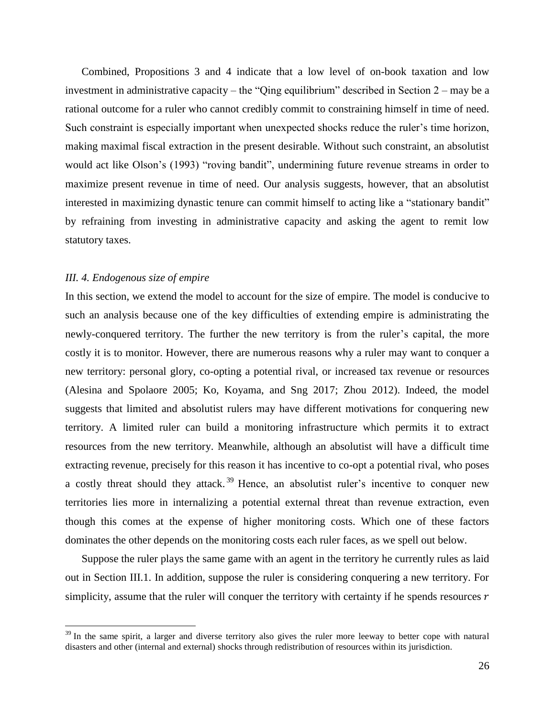Combined, Propositions 3 and 4 indicate that a low level of on-book taxation and low investment in administrative capacity – the "Qing equilibrium" described in Section  $2 -$  may be a rational outcome for a ruler who cannot credibly commit to constraining himself in time of need. Such constraint is especially important when unexpected shocks reduce the ruler's time horizon, making maximal fiscal extraction in the present desirable. Without such constraint, an absolutist would act like Olson's (1993) "roving bandit", undermining future revenue streams in order to maximize present revenue in time of need. Our analysis suggests, however, that an absolutist interested in maximizing dynastic tenure can commit himself to acting like a "stationary bandit" by refraining from investing in administrative capacity and asking the agent to remit low statutory taxes.

#### *III. 4. Endogenous size of empire*

 $\overline{a}$ 

In this section, we extend the model to account for the size of empire. The model is conducive to such an analysis because one of the key difficulties of extending empire is administrating the newly-conquered territory. The further the new territory is from the ruler's capital, the more costly it is to monitor. However, there are numerous reasons why a ruler may want to conquer a new territory: personal glory, co-opting a potential rival, or increased tax revenue or resources (Alesina and Spolaore 2005; Ko, Koyama, and Sng 2017; Zhou 2012). Indeed, the model suggests that limited and absolutist rulers may have different motivations for conquering new territory. A limited ruler can build a monitoring infrastructure which permits it to extract resources from the new territory. Meanwhile, although an absolutist will have a difficult time extracting revenue, precisely for this reason it has incentive to co-opt a potential rival, who poses a costly threat should they attack.<sup>39</sup> Hence, an absolutist ruler's incentive to conquer new territories lies more in internalizing a potential external threat than revenue extraction, even though this comes at the expense of higher monitoring costs. Which one of these factors dominates the other depends on the monitoring costs each ruler faces, as we spell out below.

Suppose the ruler plays the same game with an agent in the territory he currently rules as laid out in Section III.1. In addition, suppose the ruler is considering conquering a new territory. For simplicity, assume that the ruler will conquer the territory with certainty if he spends resources  $r$ 

 $39$  In the same spirit, a larger and diverse territory also gives the ruler more leeway to better cope with natural disasters and other (internal and external) shocks through redistribution of resources within its jurisdiction.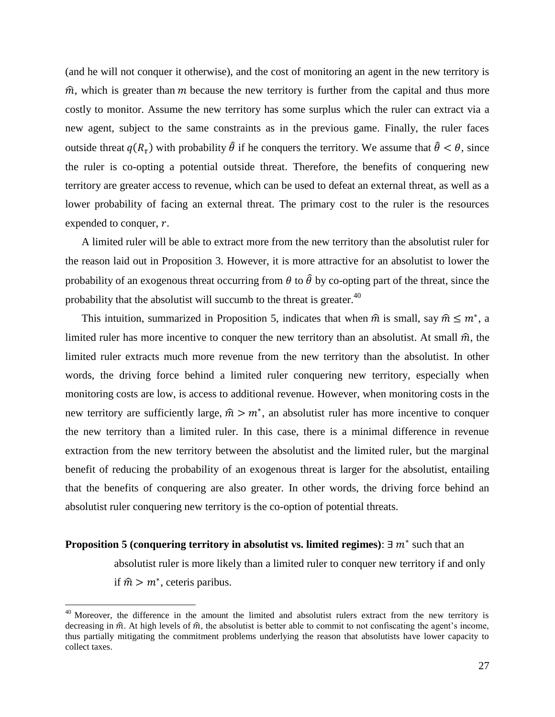(and he will not conquer it otherwise), and the cost of monitoring an agent in the new territory is  $\hat{m}$ , which is greater than m because the new territory is further from the capital and thus more costly to monitor. Assume the new territory has some surplus which the ruler can extract via a new agent, subject to the same constraints as in the previous game. Finally, the ruler faces outside threat  $q(R<sub>\tau</sub>)$  with probability  $\hat{\theta}$  if he conquers the territory. We assume that  $\hat{\theta} < \theta$ , since the ruler is co-opting a potential outside threat. Therefore, the benefits of conquering new territory are greater access to revenue, which can be used to defeat an external threat, as well as a lower probability of facing an external threat. The primary cost to the ruler is the resources expended to conquer,  $r$ .

A limited ruler will be able to extract more from the new territory than the absolutist ruler for the reason laid out in Proposition 3. However, it is more attractive for an absolutist to lower the probability of an exogenous threat occurring from  $\theta$  to  $\hat{\theta}$  by co-opting part of the threat, since the probability that the absolutist will succumb to the threat is greater. $40$ 

This intuition, summarized in Proposition 5, indicates that when  $\hat{m}$  is small, say  $\hat{m} \leq m^*$ , a limited ruler has more incentive to conquer the new territory than an absolutist. At small  $\hat{m}$ , the limited ruler extracts much more revenue from the new territory than the absolutist. In other words, the driving force behind a limited ruler conquering new territory, especially when monitoring costs are low, is access to additional revenue. However, when monitoring costs in the new territory are sufficiently large,  $\hat{m} > m^*$ , an absolutist ruler has more incentive to conquer the new territory than a limited ruler. In this case, there is a minimal difference in revenue extraction from the new territory between the absolutist and the limited ruler, but the marginal benefit of reducing the probability of an exogenous threat is larger for the absolutist, entailing that the benefits of conquering are also greater. In other words, the driving force behind an absolutist ruler conquering new territory is the co-option of potential threats.

#### **Proposition 5 (conquering territory in absolutist vs. limited regimes):**  $\exists m^*$  such that an

 $\overline{a}$ 

absolutist ruler is more likely than a limited ruler to conquer new territory if and only if  $\hat{m} > m^*$ , ceteris paribus.

 $40$  Moreover, the difference in the amount the limited and absolutist rulers extract from the new territory is decreasing in  $\hat{m}$ . At high levels of  $\hat{m}$ , the absolutist is better able to commit to not confiscating the agent's income, thus partially mitigating the commitment problems underlying the reason that absolutists have lower capacity to collect taxes.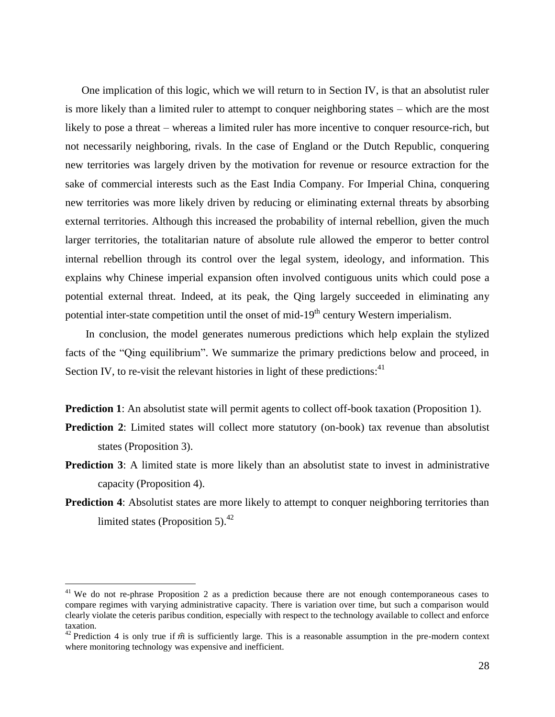One implication of this logic, which we will return to in Section IV, is that an absolutist ruler is more likely than a limited ruler to attempt to conquer neighboring states – which are the most likely to pose a threat – whereas a limited ruler has more incentive to conquer resource-rich, but not necessarily neighboring, rivals. In the case of England or the Dutch Republic, conquering new territories was largely driven by the motivation for revenue or resource extraction for the sake of commercial interests such as the East India Company. For Imperial China, conquering new territories was more likely driven by reducing or eliminating external threats by absorbing external territories. Although this increased the probability of internal rebellion, given the much larger territories, the totalitarian nature of absolute rule allowed the emperor to better control internal rebellion through its control over the legal system, ideology, and information. This explains why Chinese imperial expansion often involved contiguous units which could pose a potential external threat. Indeed, at its peak, the Qing largely succeeded in eliminating any potential inter-state competition until the onset of mid-19<sup>th</sup> century Western imperialism.

In conclusion, the model generates numerous predictions which help explain the stylized facts of the "Qing equilibrium". We summarize the primary predictions below and proceed, in Section IV, to re-visit the relevant histories in light of these predictions:  $41$ 

**Prediction 1**: An absolutist state will permit agents to collect off-book taxation (Proposition 1).

- **Prediction 2:** Limited states will collect more statutory (on-book) tax revenue than absolutist states (Proposition 3).
- **Prediction 3**: A limited state is more likely than an absolutist state to invest in administrative capacity (Proposition 4).
- **Prediction 4**: Absolutist states are more likely to attempt to conquer neighboring territories than limited states (Proposition 5). $^{42}$

 $41$  We do not re-phrase Proposition 2 as a prediction because there are not enough contemporaneous cases to compare regimes with varying administrative capacity. There is variation over time, but such a comparison would clearly violate the ceteris paribus condition, especially with respect to the technology available to collect and enforce taxation.

<sup>&</sup>lt;sup>42</sup> Prediction 4 is only true if  $\hat{m}$  is sufficiently large. This is a reasonable assumption in the pre-modern context where monitoring technology was expensive and inefficient.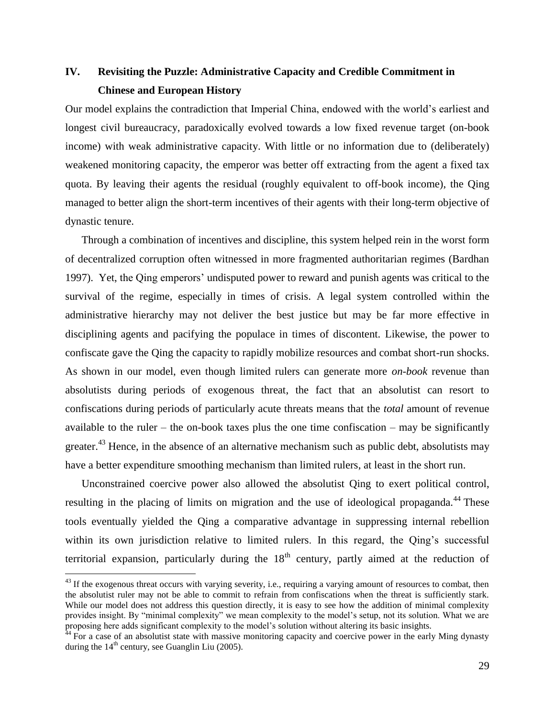## **IV. Revisiting the Puzzle: Administrative Capacity and Credible Commitment in Chinese and European History**

Our model explains the contradiction that Imperial China, endowed with the world's earliest and longest civil bureaucracy, paradoxically evolved towards a low fixed revenue target (on-book income) with weak administrative capacity. With little or no information due to (deliberately) weakened monitoring capacity, the emperor was better off extracting from the agent a fixed tax quota. By leaving their agents the residual (roughly equivalent to off-book income), the Qing managed to better align the short-term incentives of their agents with their long-term objective of dynastic tenure.

Through a combination of incentives and discipline, this system helped rein in the worst form of decentralized corruption often witnessed in more fragmented authoritarian regimes (Bardhan 1997). Yet, the Qing emperors' undisputed power to reward and punish agents was critical to the survival of the regime, especially in times of crisis. A legal system controlled within the administrative hierarchy may not deliver the best justice but may be far more effective in disciplining agents and pacifying the populace in times of discontent. Likewise, the power to confiscate gave the Qing the capacity to rapidly mobilize resources and combat short-run shocks. As shown in our model, even though limited rulers can generate more *on-book* revenue than absolutists during periods of exogenous threat, the fact that an absolutist can resort to confiscations during periods of particularly acute threats means that the *total* amount of revenue available to the ruler – the on-book taxes plus the one time confiscation – may be significantly greater.<sup>43</sup> Hence, in the absence of an alternative mechanism such as public debt, absolutists may have a better expenditure smoothing mechanism than limited rulers, at least in the short run.

Unconstrained coercive power also allowed the absolutist Qing to exert political control, resulting in the placing of limits on migration and the use of ideological propaganda.<sup>44</sup> These tools eventually yielded the Qing a comparative advantage in suppressing internal rebellion within its own jurisdiction relative to limited rulers. In this regard, the Qing's successful territorial expansion, particularly during the  $18<sup>th</sup>$  century, partly aimed at the reduction of

 $43$  If the exogenous threat occurs with varying severity, i.e., requiring a varying amount of resources to combat, then the absolutist ruler may not be able to commit to refrain from confiscations when the threat is sufficiently stark. While our model does not address this question directly, it is easy to see how the addition of minimal complexity provides insight. By "minimal complexity" we mean complexity to the model's setup, not its solution. What we are proposing here adds significant complexity to the model's solution without altering its basic insights.

 $44$  For a case of an absolutist state with massive monitoring capacity and coercive power in the early Ming dynasty during the  $14<sup>th</sup>$  century, see Guanglin Liu (2005).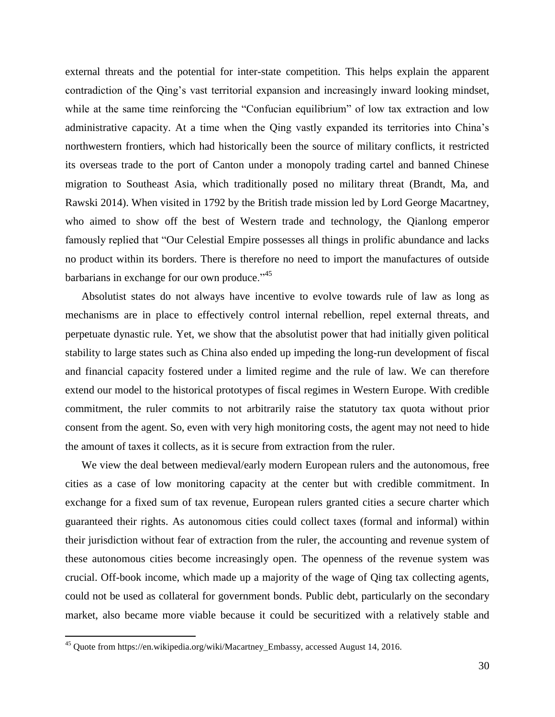external threats and the potential for inter-state competition. This helps explain the apparent contradiction of the Qing's vast territorial expansion and increasingly inward looking mindset, while at the same time reinforcing the "Confucian equilibrium" of low tax extraction and low administrative capacity. At a time when the Qing vastly expanded its territories into China's northwestern frontiers, which had historically been the source of military conflicts, it restricted its overseas trade to the port of Canton under a monopoly trading cartel and banned Chinese migration to Southeast Asia, which traditionally posed no military threat (Brandt, Ma, and Rawski 2014). When visited in 1792 by the British trade mission led by Lord George Macartney, who aimed to show off the best of Western trade and technology, the Qianlong emperor famously replied that "Our Celestial Empire possesses all things in prolific abundance and lacks no product within its borders. There is therefore no need to import the manufactures of outside barbarians in exchange for our own produce." $45$ 

Absolutist states do not always have incentive to evolve towards rule of law as long as mechanisms are in place to effectively control internal rebellion, repel external threats, and perpetuate dynastic rule. Yet, we show that the absolutist power that had initially given political stability to large states such as China also ended up impeding the long-run development of fiscal and financial capacity fostered under a limited regime and the rule of law. We can therefore extend our model to the historical prototypes of fiscal regimes in Western Europe. With credible commitment, the ruler commits to not arbitrarily raise the statutory tax quota without prior consent from the agent. So, even with very high monitoring costs, the agent may not need to hide the amount of taxes it collects, as it is secure from extraction from the ruler.

We view the deal between medieval/early modern European rulers and the autonomous, free cities as a case of low monitoring capacity at the center but with credible commitment. In exchange for a fixed sum of tax revenue, European rulers granted cities a secure charter which guaranteed their rights. As autonomous cities could collect taxes (formal and informal) within their jurisdiction without fear of extraction from the ruler, the accounting and revenue system of these autonomous cities become increasingly open. The openness of the revenue system was crucial. Off-book income, which made up a majority of the wage of Qing tax collecting agents, could not be used as collateral for government bonds. Public debt, particularly on the secondary market, also became more viable because it could be securitized with a relatively stable and

<sup>45</sup> Quote from https://en.wikipedia.org/wiki/Macartney\_Embassy, accessed August 14, 2016.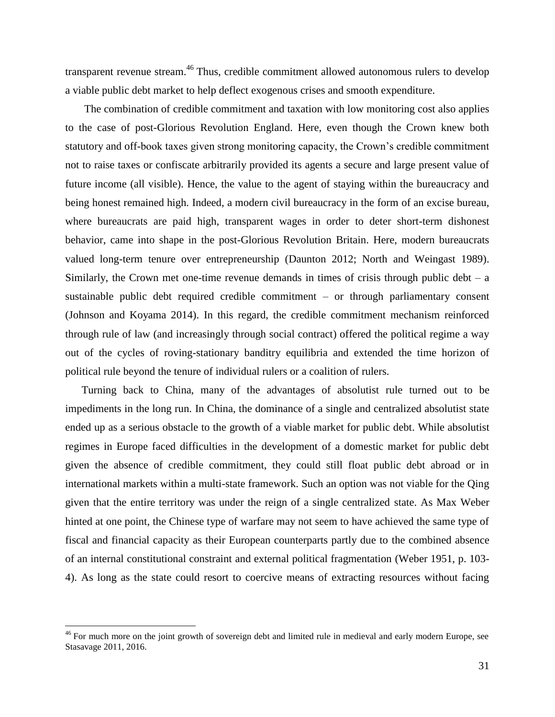transparent revenue stream.<sup>46</sup> Thus, credible commitment allowed autonomous rulers to develop a viable public debt market to help deflect exogenous crises and smooth expenditure.

The combination of credible commitment and taxation with low monitoring cost also applies to the case of post-Glorious Revolution England. Here, even though the Crown knew both statutory and off-book taxes given strong monitoring capacity, the Crown's credible commitment not to raise taxes or confiscate arbitrarily provided its agents a secure and large present value of future income (all visible). Hence, the value to the agent of staying within the bureaucracy and being honest remained high. Indeed, a modern civil bureaucracy in the form of an excise bureau, where bureaucrats are paid high, transparent wages in order to deter short-term dishonest behavior, came into shape in the post-Glorious Revolution Britain. Here, modern bureaucrats valued long-term tenure over entrepreneurship (Daunton 2012; North and Weingast 1989). Similarly, the Crown met one-time revenue demands in times of crisis through public debt  $- a$ sustainable public debt required credible commitment – or through parliamentary consent (Johnson and Koyama 2014). In this regard, the credible commitment mechanism reinforced through rule of law (and increasingly through social contract) offered the political regime a way out of the cycles of roving-stationary banditry equilibria and extended the time horizon of political rule beyond the tenure of individual rulers or a coalition of rulers.

Turning back to China, many of the advantages of absolutist rule turned out to be impediments in the long run. In China, the dominance of a single and centralized absolutist state ended up as a serious obstacle to the growth of a viable market for public debt. While absolutist regimes in Europe faced difficulties in the development of a domestic market for public debt given the absence of credible commitment, they could still float public debt abroad or in international markets within a multi-state framework. Such an option was not viable for the Qing given that the entire territory was under the reign of a single centralized state. As Max Weber hinted at one point, the Chinese type of warfare may not seem to have achieved the same type of fiscal and financial capacity as their European counterparts partly due to the combined absence of an internal constitutional constraint and external political fragmentation (Weber 1951, p. 103- 4). As long as the state could resort to coercive means of extracting resources without facing

<sup>&</sup>lt;sup>46</sup> For much more on the joint growth of sovereign debt and limited rule in medieval and early modern Europe, see Stasavage 2011, 2016.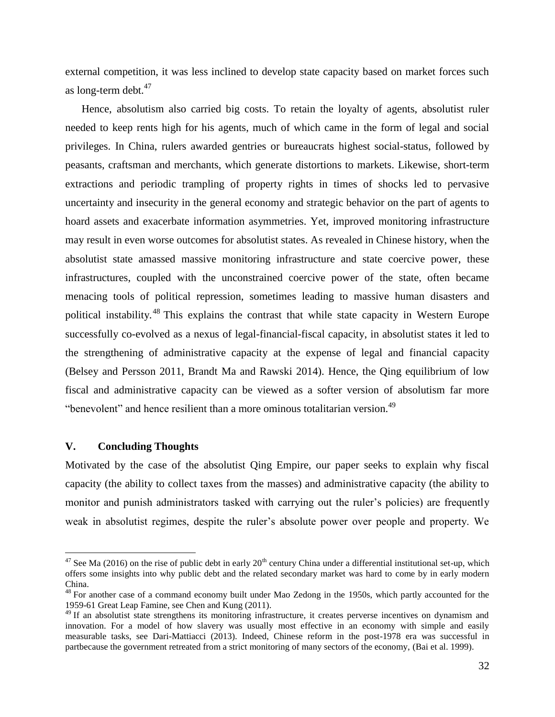external competition, it was less inclined to develop state capacity based on market forces such as long-term debt. $47$ 

Hence, absolutism also carried big costs. To retain the loyalty of agents, absolutist ruler needed to keep rents high for his agents, much of which came in the form of legal and social privileges. In China, rulers awarded gentries or bureaucrats highest social-status, followed by peasants, craftsman and merchants, which generate distortions to markets. Likewise, short-term extractions and periodic trampling of property rights in times of shocks led to pervasive uncertainty and insecurity in the general economy and strategic behavior on the part of agents to hoard assets and exacerbate information asymmetries. Yet, improved monitoring infrastructure may result in even worse outcomes for absolutist states. As revealed in Chinese history, when the absolutist state amassed massive monitoring infrastructure and state coercive power, these infrastructures, coupled with the unconstrained coercive power of the state, often became menacing tools of political repression, sometimes leading to massive human disasters and political instability.<sup>48</sup> This explains the contrast that while state capacity in Western Europe successfully co-evolved as a nexus of legal-financial-fiscal capacity, in absolutist states it led to the strengthening of administrative capacity at the expense of legal and financial capacity (Belsey and Persson 2011, Brandt Ma and Rawski 2014). Hence, the Qing equilibrium of low fiscal and administrative capacity can be viewed as a softer version of absolutism far more "benevolent" and hence resilient than a more ominous totalitarian version.<sup>49</sup>

#### **V. Concluding Thoughts**

 $\overline{a}$ 

Motivated by the case of the absolutist Qing Empire, our paper seeks to explain why fiscal capacity (the ability to collect taxes from the masses) and administrative capacity (the ability to monitor and punish administrators tasked with carrying out the ruler's policies) are frequently weak in absolutist regimes, despite the ruler's absolute power over people and property. We

<sup>&</sup>lt;sup>47</sup> See Ma (2016) on the rise of public debt in early  $20<sup>th</sup>$  century China under a differential institutional set-up, which offers some insights into why public debt and the related secondary market was hard to come by in early modern China.

<sup>&</sup>lt;sup>48</sup> For another case of a command economy built under Mao Zedong in the 1950s, which partly accounted for the 1959-61 Great Leap Famine, see Chen and Kung (2011).

<sup>&</sup>lt;sup>49</sup> If an absolutist state strengthens its monitoring infrastructure, it creates perverse incentives on dynamism and innovation. For a model of how slavery was usually most effective in an economy with simple and easily measurable tasks, see Dari-Mattiacci (2013). Indeed, Chinese reform in the post-1978 era was successful in partbecause the government retreated from a strict monitoring of many sectors of the economy, (Bai et al. 1999).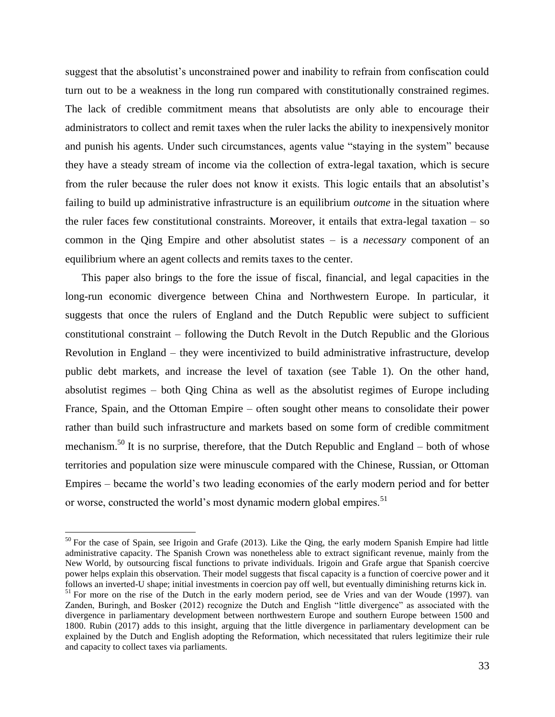suggest that the absolutist's unconstrained power and inability to refrain from confiscation could turn out to be a weakness in the long run compared with constitutionally constrained regimes. The lack of credible commitment means that absolutists are only able to encourage their administrators to collect and remit taxes when the ruler lacks the ability to inexpensively monitor and punish his agents. Under such circumstances, agents value "staying in the system" because they have a steady stream of income via the collection of extra-legal taxation, which is secure from the ruler because the ruler does not know it exists. This logic entails that an absolutist's failing to build up administrative infrastructure is an equilibrium *outcome* in the situation where the ruler faces few constitutional constraints. Moreover, it entails that extra-legal taxation – so common in the Qing Empire and other absolutist states – is a *necessary* component of an equilibrium where an agent collects and remits taxes to the center.

This paper also brings to the fore the issue of fiscal, financial, and legal capacities in the long-run economic divergence between China and Northwestern Europe. In particular, it suggests that once the rulers of England and the Dutch Republic were subject to sufficient constitutional constraint – following the Dutch Revolt in the Dutch Republic and the Glorious Revolution in England – they were incentivized to build administrative infrastructure, develop public debt markets, and increase the level of taxation (see Table 1). On the other hand, absolutist regimes – both Qing China as well as the absolutist regimes of Europe including France, Spain, and the Ottoman Empire – often sought other means to consolidate their power rather than build such infrastructure and markets based on some form of credible commitment mechanism.<sup>50</sup> It is no surprise, therefore, that the Dutch Republic and England – both of whose territories and population size were minuscule compared with the Chinese, Russian, or Ottoman Empires – became the world's two leading economies of the early modern period and for better or worse, constructed the world's most dynamic modern global empires.<sup>51</sup>

 $50$  For the case of Spain, see Irigoin and Grafe (2013). Like the Qing, the early modern Spanish Empire had little administrative capacity. The Spanish Crown was nonetheless able to extract significant revenue, mainly from the New World, by outsourcing fiscal functions to private individuals. Irigoin and Grafe argue that Spanish coercive power helps explain this observation. Their model suggests that fiscal capacity is a function of coercive power and it follows an inverted-U shape; initial investments in coercion pay off well, but eventually diminishing returns kick in.

<sup>&</sup>lt;sup>51</sup> For more on the rise of the Dutch in the early modern period, see de Vries and van der Woude (1997). van Zanden, Buringh, and Bosker (2012) recognize the Dutch and English "little divergence" as associated with the divergence in parliamentary development between northwestern Europe and southern Europe between 1500 and 1800. Rubin (2017) adds to this insight, arguing that the little divergence in parliamentary development can be explained by the Dutch and English adopting the Reformation, which necessitated that rulers legitimize their rule and capacity to collect taxes via parliaments.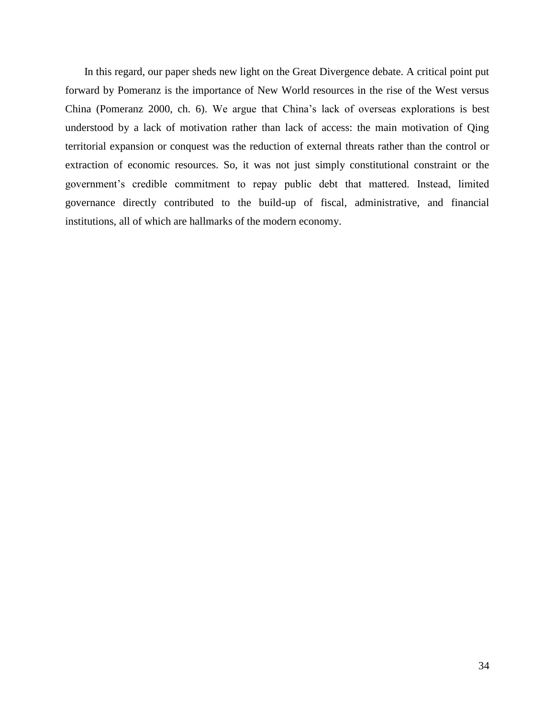In this regard, our paper sheds new light on the Great Divergence debate. A critical point put forward by Pomeranz is the importance of New World resources in the rise of the West versus China (Pomeranz 2000, ch. 6). We argue that China's lack of overseas explorations is best understood by a lack of motivation rather than lack of access: the main motivation of Qing territorial expansion or conquest was the reduction of external threats rather than the control or extraction of economic resources. So, it was not just simply constitutional constraint or the government's credible commitment to repay public debt that mattered. Instead, limited governance directly contributed to the build-up of fiscal, administrative, and financial institutions, all of which are hallmarks of the modern economy.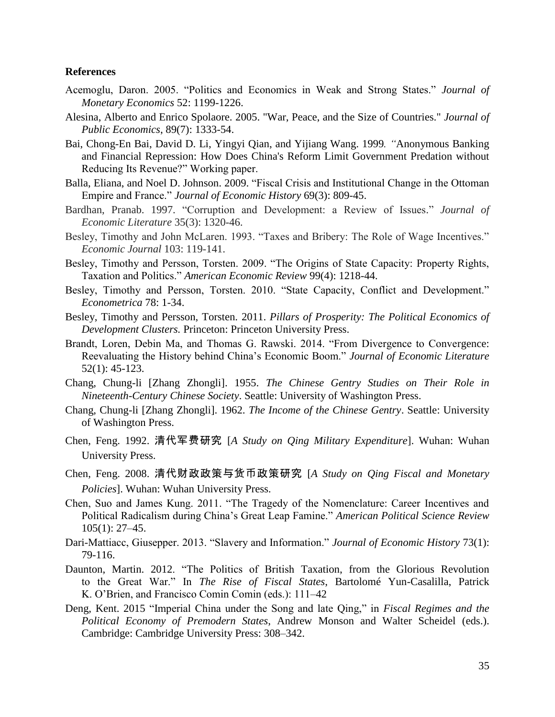#### **References**

- Acemoglu, Daron. 2005. "Politics and Economics in Weak and Strong States." *Journal of Monetary Economics* 52: 1199-1226.
- Alesina, Alberto and Enrico Spolaore. 2005. "War, Peace, and the Size of Countries." *Journal of Public Economics*, 89(7): 1333-54.
- Bai, [Chong-En Bai,](http://econpapers.repec.org/RAS/pba338.htm) David D. Li, Yingyi Qian, and [Yijiang Wang.](http://econpapers.repec.org/RAS/pwa687.htm) 1999*. "*Anonymous Banking and Financial Repression: How Does China's Reform Limit Government Predation without Reducing Its Revenue?" Working paper.
- Balla, Eliana, and Noel D. Johnson. 2009. "Fiscal Crisis and Institutional Change in the Ottoman Empire and France." *Journal of Economic History* 69(3): 809-45.
- Bardhan, Pranab. 1997. "Corruption and Development: a Review of Issues." *Journal of Economic Literature* 35(3): 1320-46.
- Besley, Timothy and John McLaren. 1993. "Taxes and Bribery: The Role of Wage Incentives." *Economic Journal* 103: 119-141.
- Besley, Timothy and Persson, Torsten. 2009. "The Origins of State Capacity: Property Rights, Taxation and Politics." *American Economic Review* 99(4): 1218-44.
- Besley, Timothy and Persson, Torsten. 2010. "State Capacity, Conflict and Development." *Econometrica* 78: 1-34.
- Besley, Timothy and Persson, Torsten. 2011. *Pillars of Prosperity: The Political Economics of Development Clusters.* Princeton: Princeton University Press.
- Brandt, Loren, Debin Ma, and Thomas G. Rawski. 2014. "From Divergence to Convergence: Reevaluating the History behind China's Economic Boom." *Journal of Economic Literature* 52(1): 45-123.
- Chang, Chung-li [Zhang Zhongli]. 1955. *The Chinese Gentry Studies on Their Role in Nineteenth-Century Chinese Society*. Seattle: University of Washington Press.
- Chang, Chung-li [Zhang Zhongli]. 1962. *The Income of the Chinese Gentry*. Seattle: University of Washington Press.
- Chen, Feng. 1992. 清代军费研究 [*A Study on Qing Military Expenditure*]. Wuhan: Wuhan University Press.
- Chen, Feng. 2008. 清代财政政策与货币政策研究 [*A Study on Qing Fiscal and Monetary Policies*]. Wuhan: Wuhan University Press.
- Chen, Suo and James Kung. 2011. "The Tragedy of the Nomenclature: Career Incentives and Political Radicalism during China's Great Leap Famine." *American Political Science Review* 105(1): 27–45.
- Dari-Mattiacc, Giusepper. 2013. "Slavery and Information." *Journal of Economic History* 73(1): 79-116.
- Daunton, Martin. 2012. "The Politics of British Taxation, from the Glorious Revolution to the Great War." In *The Rise of Fiscal States*, Bartolomé Yun-Casalilla, Patrick K. O'Brien, and Francisco Comin Comin (eds.): 111–42
- Deng, Kent. 2015 "Imperial China under the Song and late Qing," in *Fiscal Regimes and the Political Economy of Premodern States*, Andrew Monson and Walter Scheidel (eds.). Cambridge: Cambridge University Press: 308–342.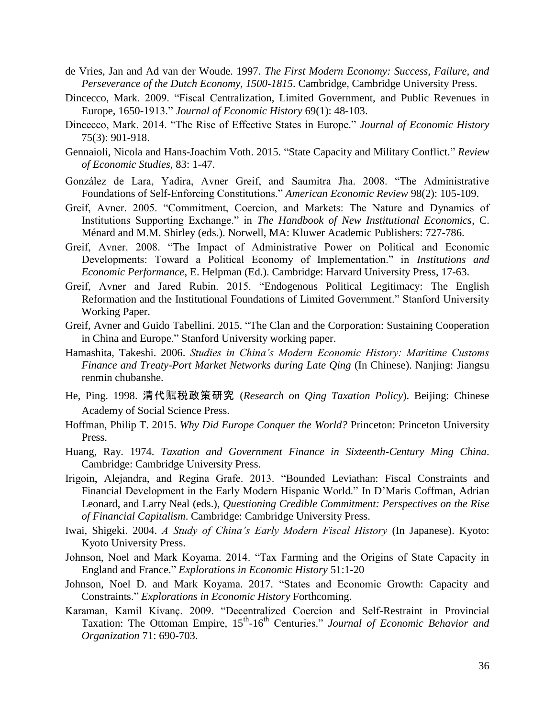- de Vries, Jan and Ad van der Woude. 1997. *The First Modern Economy: Success, Failure, and Perseverance of the Dutch Economy, 1500-1815*. Cambridge, Cambridge University Press.
- Dincecco, Mark. 2009. "Fiscal Centralization, Limited Government, and Public Revenues in Europe, 1650-1913." *Journal of Economic History* 69(1): 48-103.
- Dincecco, Mark. 2014. "The Rise of Effective States in Europe." *Journal of Economic History* 75(3): 901-918.
- Gennaioli, Nicola and Hans-Joachim Voth. 2015. "State Capacity and Military Conflict." *Review of Economic Studies*, 83: 1-47.
- González de Lara, Yadira, Avner Greif, and Saumitra Jha. 2008. "The Administrative Foundations of Self-Enforcing Constitutions." *American Economic Review* 98(2): 105-109.
- Greif, Avner. 2005. "Commitment, Coercion, and Markets: The Nature and Dynamics of Institutions Supporting Exchange." in *The Handbook of New Institutional Economics*, C. Ménard and M.M. Shirley (eds.). Norwell, MA: Kluwer Academic Publishers: 727-786.
- Greif, Avner. 2008. "The Impact of Administrative Power on Political and Economic Developments: Toward a Political Economy of Implementation." in *Institutions and Economic Performance*, E. Helpman (Ed.). Cambridge: Harvard University Press, 17-63.
- Greif, Avner and Jared Rubin. 2015. "Endogenous Political Legitimacy: The English Reformation and the Institutional Foundations of Limited Government." Stanford University Working Paper.
- Greif, Avner and Guido Tabellini. 2015. "The Clan and the Corporation: Sustaining Cooperation in China and Europe." Stanford University working paper.
- Hamashita, Takeshi. 2006. *Studies in China's Modern Economic History: Maritime Customs Finance and Treaty-Port Market Networks during Late Qing* (In Chinese). Nanjing: Jiangsu renmin chubanshe.
- He, Ping. 1998. 清代赋税政策研究 (*Research on Qing Taxation Policy*). Beijing: Chinese Academy of Social Science Press.
- Hoffman, Philip T. 2015. *Why Did Europe Conquer the World?* Princeton: Princeton University Press.
- Huang, Ray. 1974. *Taxation and Government Finance in Sixteenth-Century Ming China*. Cambridge: Cambridge University Press.
- Irigoin, Alejandra, and Regina Grafe. 2013. "Bounded Leviathan: Fiscal Constraints and Financial Development in the Early Modern Hispanic World." In D'Maris Coffman, Adrian Leonard, and Larry Neal (eds.), *Questioning Credible Commitment: Perspectives on the Rise of Financial Capitalism*. Cambridge: Cambridge University Press.
- Iwai, Shigeki. 2004. *A Study of China's Early Modern Fiscal History* (In Japanese). Kyoto: Kyoto University Press.
- Johnson, Noel and Mark Koyama. 2014. "Tax Farming and the Origins of State Capacity in England and France." *Explorations in Economic History* 51:1-20
- Johnson, Noel D. and Mark Koyama. 2017. "States and Economic Growth: Capacity and Constraints." *Explorations in Economic History* Forthcoming.
- Karaman, Kamil Kivanç. 2009. "Decentralized Coercion and Self-Restraint in Provincial Taxation: The Ottoman Empire, 15<sup>th</sup>-16<sup>th</sup> Centuries." *Journal of Economic Behavior and Organization* 71: 690-703.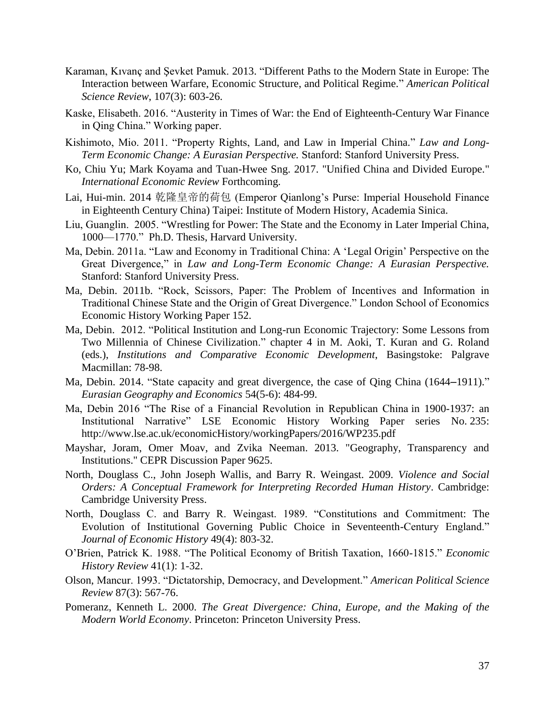- Karaman, Kıvanç and Şevket Pamuk. 2013. "Different Paths to the Modern State in Europe: The Interaction between Warfare, Economic Structure, and Political Regime." *American Political Science Review*, 107(3): 603-26.
- Kaske, Elisabeth. 2016. "Austerity in Times of War: the End of Eighteenth-Century War Finance in Qing China." Working paper.
- Kishimoto, Mio. 2011. "Property Rights, Land, and Law in Imperial China." *Law and Long-Term Economic Change: A Eurasian Perspective.* Stanford: Stanford University Press.
- Ko, Chiu Yu; Mark Koyama and Tuan-Hwee Sng. 2017. "Unified China and Divided Europe." *International Economic Review* Forthcoming.
- Lai, Hui-min. 2014 乾隆皇帝的荷包 (Emperor Qianlong's Purse: Imperial Household Finance in Eighteenth Century China) Taipei: Institute of Modern History, Academia Sinica.
- Liu, Guanglin. 2005. "Wrestling for Power: The State and the Economy in Later Imperial China, 1000—1770." Ph.D. Thesis, Harvard University.
- Ma, Debin. 2011a. "Law and Economy in Traditional China: A 'Legal Origin' Perspective on the Great Divergence," in *Law and Long-Term Economic Change: A Eurasian Perspective.*  Stanford: Stanford University Press.
- Ma, Debin. 2011b. "Rock, Scissors, Paper: The Problem of Incentives and Information in Traditional Chinese State and the Origin of Great Divergence." London School of Economics Economic History Working Paper 152.
- Ma, Debin. 2012. "Political Institution and Long-run Economic Trajectory: Some Lessons from Two Millennia of Chinese Civilization." chapter 4 in M. Aoki, T. Kuran and G. Roland (eds.), *Institutions and Comparative Economic Development*, Basingstoke: Palgrave Macmillan: 78-98.
- Ma, Debin. 2014. "State capacity and great divergence, the case of Qing China (1644–1911)." *Eurasian Geography and Economics* 54(5-6): 484-99.
- Ma, Debin 2016 "The Rise of a Financial Revolution in Republican China in 1900-1937: an Institutional Narrative" LSE Economic History Working Paper series No. 235: http://www.lse.ac.uk/economicHistory/workingPapers/2016/WP235.pdf
- Mayshar, Joram, Omer Moav, and Zvika Neeman. 2013. "Geography, Transparency and Institutions." CEPR Discussion Paper 9625.
- North, Douglass C., John Joseph Wallis, and Barry R. Weingast. 2009. *Violence and Social Orders: A Conceptual Framework for Interpreting Recorded Human History*. Cambridge: Cambridge University Press.
- North, Douglass C. and Barry R. Weingast. 1989. "Constitutions and Commitment: The Evolution of Institutional Governing Public Choice in Seventeenth-Century England." *Journal of Economic History* 49(4): 803-32.
- O'Brien, Patrick K. 1988. "The Political Economy of British Taxation, 1660-1815." *Economic History Review* 41(1): 1-32.
- Olson, Mancur. 1993. "Dictatorship, Democracy, and Development." *American Political Science Review* 87(3): 567-76.
- Pomeranz, Kenneth L. 2000. *The Great Divergence: China, Europe, and the Making of the Modern World Economy*. Princeton: Princeton University Press.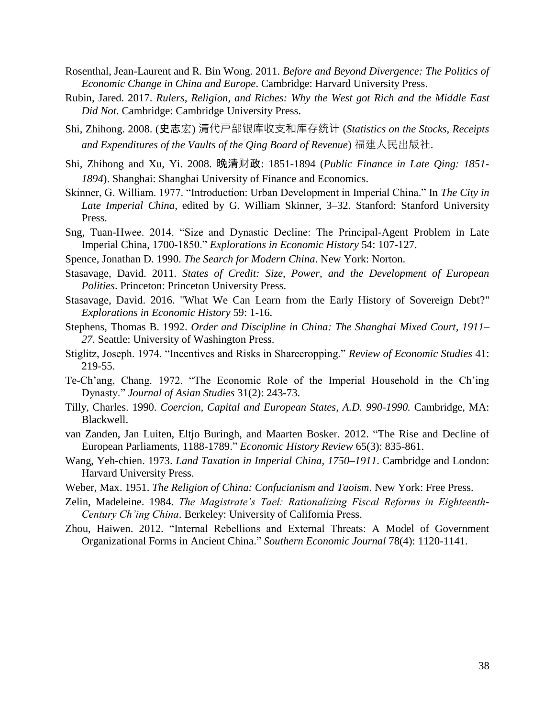- Rosenthal, Jean-Laurent and R. Bin Wong. 2011. *Before and Beyond Divergence: The Politics of Economic Change in China and Europe*. Cambridge: Harvard University Press.
- Rubin, Jared. 2017. *Rulers, Religion, and Riches: Why the West got Rich and the Middle East Did Not*. Cambridge: Cambridge University Press.
- Shi, Zhihong. 2008. (史志宏) 清代戸部银库收支和库存统计 (*Statistics on the Stocks, Receipts and Expenditures of the Vaults of the Qing Board of Revenue*) 福建人民出版社.
- Shi, Zhihong and Xu, Yi. 2008. 晚清财政: 1851-1894 (*Public Finance in Late Qing: 1851- 1894*). Shanghai: Shanghai University of Finance and Economics.
- Skinner, G. William. 1977. "Introduction: Urban Development in Imperial China." In *The City in Late Imperial China*, edited by G. William Skinner, 3–32. Stanford: Stanford University Press.
- Sng, Tuan-Hwee. 2014. "Size and Dynastic Decline: The Principal-Agent Problem in Late Imperial China, 1700-1850." *Explorations in Economic History* 54: 107-127.
- Spence, Jonathan D. 1990. *The Search for Modern China*. New York: Norton.
- Stasavage, David. 2011. *States of Credit: Size, Power, and the Development of European Polities*. Princeton: Princeton University Press.
- Stasavage, David. 2016. "What We Can Learn from the Early History of Sovereign Debt?" *Explorations in Economic History* 59: 1-16.
- Stephens, Thomas B. 1992. *Order and Discipline in China: The Shanghai Mixed Court, 1911– 27*. Seattle: University of Washington Press.
- Stiglitz, Joseph. 1974. "Incentives and Risks in Sharecropping." *Review of Economic Studies* 41: 219-55.
- Te-Ch'ang, Chang. 1972. "The Economic Role of the Imperial Household in the Ch'ing Dynasty." *Journal of Asian Studies* 31(2): 243-73.
- Tilly, Charles. 1990. *Coercion, Capital and European States, A.D. 990-1990.* Cambridge, MA: Blackwell.
- van Zanden, Jan Luiten, Eltjo Buringh, and Maarten Bosker. 2012. "The Rise and Decline of European Parliaments, 1188-1789." *Economic History Review* 65(3): 835-861.
- Wang, Yeh-chien. 1973. *Land Taxation in Imperial China, 1750–1911*. Cambridge and London: Harvard University Press.
- Weber, Max. 1951. *The Religion of China: Confucianism and Taoism*. New York: Free Press.
- Zelin, Madeleine. 1984. *The Magistrate's Tael: Rationalizing Fiscal Reforms in Eighteenth-Century Ch'ing China*. Berkeley: University of California Press.
- Zhou, Haiwen. 2012. "Internal Rebellions and External Threats: A Model of Government Organizational Forms in Ancient China." *Southern Economic Journal* 78(4): 1120-1141.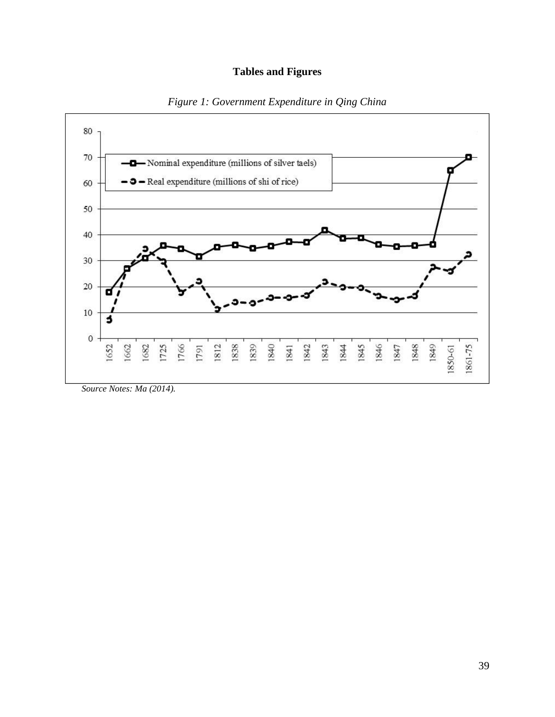## **Tables and Figures**



*Figure 1: Government Expenditure in Qing China*

*Source Notes: Ma (2014).*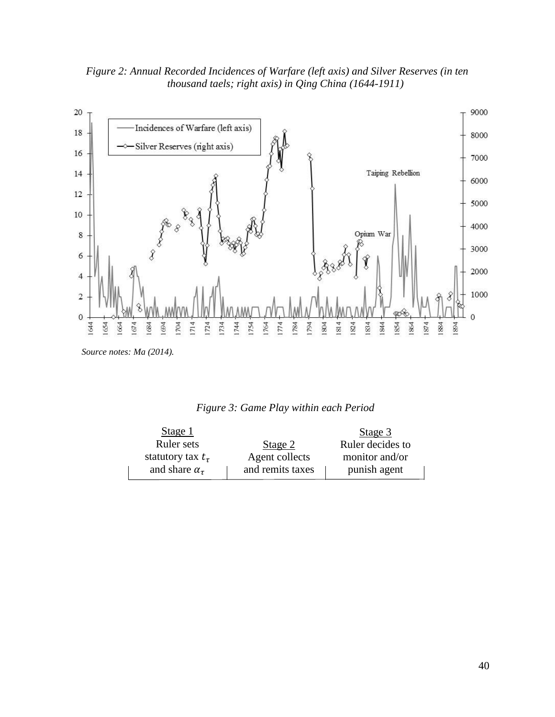*Figure 2: Annual Recorded Incidences of Warfare (left axis) and Silver Reserves (in ten thousand taels; right axis) in Qing China (1644-1911)* 



*Source notes: Ma (2014).*

*Figure 3: Game Play within each Period*

| Stage 1                   |                  | Stage 3          |
|---------------------------|------------------|------------------|
| Ruler sets                | Stage 2          | Ruler decides to |
| statutory tax $t_{\tau}$  | Agent collects   | monitor and/or   |
| and share $\alpha_{\tau}$ | and remits taxes | punish agent     |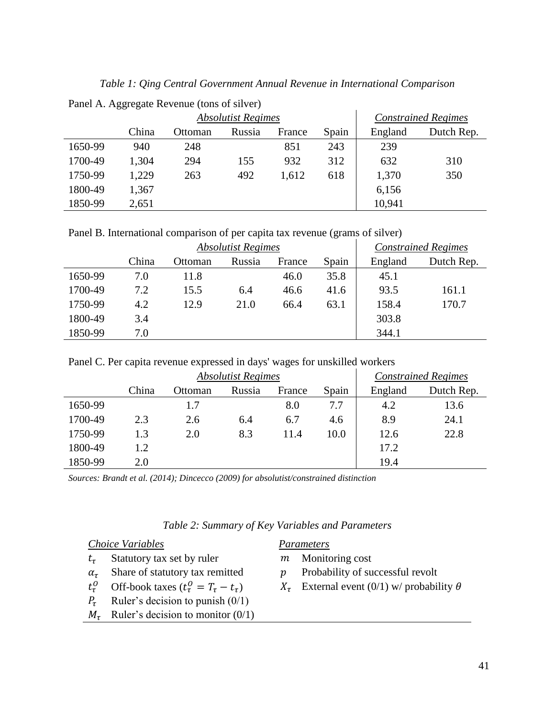|  |  |  |  |  |  | Table 1: Qing Central Government Annual Revenue in International Comparison |  |
|--|--|--|--|--|--|-----------------------------------------------------------------------------|--|
|--|--|--|--|--|--|-----------------------------------------------------------------------------|--|

| <b>Absolutist Regimes</b> |       |         |        |        |       | <b>Constrained Regimes</b> |            |
|---------------------------|-------|---------|--------|--------|-------|----------------------------|------------|
|                           | China | Ottoman | Russia | France | Spain | England                    | Dutch Rep. |
| 1650-99                   | 940   | 248     |        | 851    | 243   | 239                        |            |
| 1700-49                   | 1,304 | 294     | 155    | 932    | 312   | 632                        | 310        |
| 1750-99                   | 1,229 | 263     | 492    | 1,612  | 618   | 1,370                      | 350        |
| 1800-49                   | 1,367 |         |        |        |       | 6,156                      |            |
| 1850-99                   | 2,651 |         |        |        |       | 10,941                     |            |

Panel A. Aggregate Revenue (tons of silver)

Panel B. International comparison of per capita tax revenue (grams of silver)

| <b>Absolutist Regimes</b> |       |         |        |        |       | <b>Constrained Regimes</b> |            |
|---------------------------|-------|---------|--------|--------|-------|----------------------------|------------|
|                           | China | Ottoman | Russia | France | Spain | England                    | Dutch Rep. |
| 1650-99                   | 7.0   | 11.8    |        | 46.0   | 35.8  | 45.1                       |            |
| 1700-49                   | 7.2   | 15.5    | 6.4    | 46.6   | 41.6  | 93.5                       | 161.1      |
| 1750-99                   | 4.2   | 12.9    | 21.0   | 66.4   | 63.1  | 158.4                      | 170.7      |
| 1800-49                   | 3.4   |         |        |        |       | 303.8                      |            |
| 1850-99                   | 7.0   |         |        |        |       | 344.1                      |            |

Panel C. Per capita revenue expressed in days' wages for unskilled workers

|         | <b>Absolutist Regimes</b> |         |        |        |       |         | <b>Constrained Regimes</b> |
|---------|---------------------------|---------|--------|--------|-------|---------|----------------------------|
|         | China                     | Ottoman | Russia | France | Spain | England | Dutch Rep.                 |
| 1650-99 |                           | 1.7     |        | 8.0    | 7.7   | 4.2     | 13.6                       |
| 1700-49 | 2.3                       | 2.6     | 6.4    | 6.7    | 4.6   | 8.9     | 24.1                       |
| 1750-99 | 1.3                       | 2.0     | 8.3    | 11.4   | 10.0  | 12.6    | 22.8                       |
| 1800-49 | 1.2                       |         |        |        |       | 17.2    |                            |
| 1850-99 | 2.0                       |         |        |        |       | 19.4    |                            |

*Sources: Brandt et al. (2014); Dincecco (2009) for absolutist/constrained distinction*

### *Table 2: Summary of Key Variables and Parameters*

| Choice Variables |                                                                      | Parameters       |                                                         |  |  |
|------------------|----------------------------------------------------------------------|------------------|---------------------------------------------------------|--|--|
| $t_{\tau}$       | Statutory tax set by ruler                                           |                  | $m$ Monitoring cost                                     |  |  |
| $\alpha_{\tau}$  | Share of statutory tax remitted                                      | $\boldsymbol{p}$ | Probability of successful revolt                        |  |  |
|                  | $t_{\tau}^{0}$ Off-book taxes $(t_{\tau}^{0} = T_{\tau} - t_{\tau})$ |                  | $X_{\tau}$ External event (0/1) w/ probability $\theta$ |  |  |
|                  | $P_{\tau}$ Ruler's decision to punish (0/1)                          |                  |                                                         |  |  |
|                  | $M_{\tau}$ Ruler's decision to monitor (0/1)                         |                  |                                                         |  |  |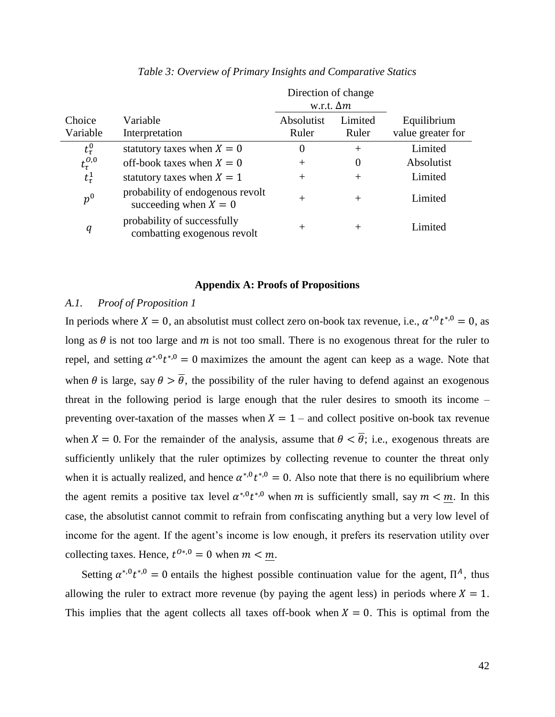|                    |                                                             | Direction of change<br>w.r.t. $\Delta m$ |                  |                                  |
|--------------------|-------------------------------------------------------------|------------------------------------------|------------------|----------------------------------|
| Choice<br>Variable | Variable<br>Interpretation                                  | Absolutist<br>Ruler                      | Limited<br>Ruler | Equilibrium<br>value greater for |
| $t_{\tau}^0$       | statutory taxes when $X = 0$                                | 0                                        | $^{+}$           | Limited                          |
| $t_{\tau}^{0,0}$   | off-book taxes when $X = 0$                                 | $^{+}$                                   | $\theta$         | Absolutist                       |
| $t_{\tau}^1$       | statutory taxes when $X = 1$                                | $^{+}$                                   | $^{+}$           | Limited                          |
| $p^0$              | probability of endogenous revolt<br>succeeding when $X = 0$ | $^{+}$                                   | $^{+}$           | Limited                          |
| q                  | probability of successfully<br>combatting exogenous revolt  | $^{+}$                                   | $^{+}$           | Limited                          |

#### *Table 3: Overview of Primary Insights and Comparative Statics*

#### **Appendix A: Proofs of Propositions**

#### *A.1. Proof of Proposition 1*

In periods where  $X = 0$ , an absolutist must collect zero on-book tax revenue, i.e.,  $\alpha^{*,0} t^{*,0} = 0$ , as long as  $\theta$  is not too large and  $m$  is not too small. There is no exogenous threat for the ruler to repel, and setting  $\alpha^{*,0} t^{*,0} = 0$  maximizes the amount the agent can keep as a wage. Note that when  $\theta$  is large, say  $\theta > \overline{\theta}$ , the possibility of the ruler having to defend against an exogenous threat in the following period is large enough that the ruler desires to smooth its income – preventing over-taxation of the masses when  $X = 1$  – and collect positive on-book tax revenue when  $X = 0$ . For the remainder of the analysis, assume that  $\theta \leq \overline{\theta}$ ; i.e., exogenous threats are sufficiently unlikely that the ruler optimizes by collecting revenue to counter the threat only when it is actually realized, and hence  $\alpha^{*,0} t^{*,0} = 0$ . Also note that there is no equilibrium where the agent remits a positive tax level  $\alpha^{*,0} t^{*,0}$  when m is sufficiently small, say  $m \leq m$ . In this case, the absolutist cannot commit to refrain from confiscating anything but a very low level of income for the agent. If the agent's income is low enough, it prefers its reservation utility over collecting taxes. Hence,  $t^{0*,0} = 0$  when  $m < m$ .

Setting  $\alpha^{*,0} t^{*,0} = 0$  entails the highest possible continuation value for the agent,  $\Pi^A$ , thus allowing the ruler to extract more revenue (by paying the agent less) in periods where  $X = 1$ . This implies that the agent collects all taxes of f-book when  $X = 0$ . This is optimal from the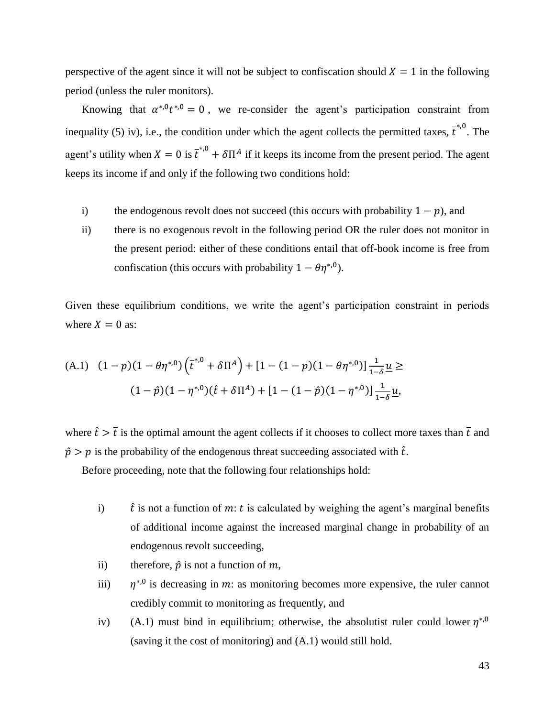perspective of the agent since it will not be subject to confiscation should  $X = 1$  in the following period (unless the ruler monitors).

Knowing that  $\alpha^{*,0}t^{*,0} = 0$ , we re-consider the agent's participation constraint from inequality (5) iv), i.e., the condition under which the agent collects the permitted taxes,  $\overline{t}^{*,0}$ . The agent's utility when  $X = 0$  is  $\overline{t}^{*,0} + \delta \Pi^A$  if it keeps its income from the present period. The agent keeps its income if and only if the following two conditions hold:

- i) the endogenous revolt does not succeed (this occurs with probability  $1 p$ ), and
- ii) there is no exogenous revolt in the following period OR the ruler does not monitor in the present period: either of these conditions entail that off-book income is free from confiscation (this occurs with probability  $1 - \theta \eta^{*,0}$ ).

Given these equilibrium conditions, we write the agent's participation constraint in periods where  $X = 0$  as:

(A.1) 
$$
(1-p)(1 - \theta \eta^{*,0}) \left(\overline{t}^{*,0} + \delta \Pi^A\right) + [1 - (1-p)(1 - \theta \eta^{*,0})] \frac{1}{1-\delta} \underline{u} \ge
$$

$$
(1-\hat{p})(1-\eta^{*,0})(\hat{t}+\delta \Pi^A) + [1 - (1-\hat{p})(1-\eta^{*,0})] \frac{1}{1-\delta} \underline{u},
$$

where  $\hat{t} > \overline{t}$  is the optimal amount the agent collects if it chooses to collect more taxes than  $\overline{t}$  and  $\hat{p} > p$  is the probability of the endogenous threat succeeding associated with  $\hat{t}$ .

Before proceeding, note that the following four relationships hold:

- i)  $\hat{t}$  is not a function of m: t is calculated by weighing the agent's marginal benefits of additional income against the increased marginal change in probability of an endogenous revolt succeeding,
- ii) therefore,  $\hat{p}$  is not a function of m,
- iii)  $*$ ,0 is decreasing in  $m$ : as monitoring becomes more expensive, the ruler cannot credibly commit to monitoring as frequently, and
- iv) (A.1) must bind in equilibrium; otherwise, the absolutist ruler could lower  $\eta^{*,0}$ (saving it the cost of monitoring) and (A.1) would still hold.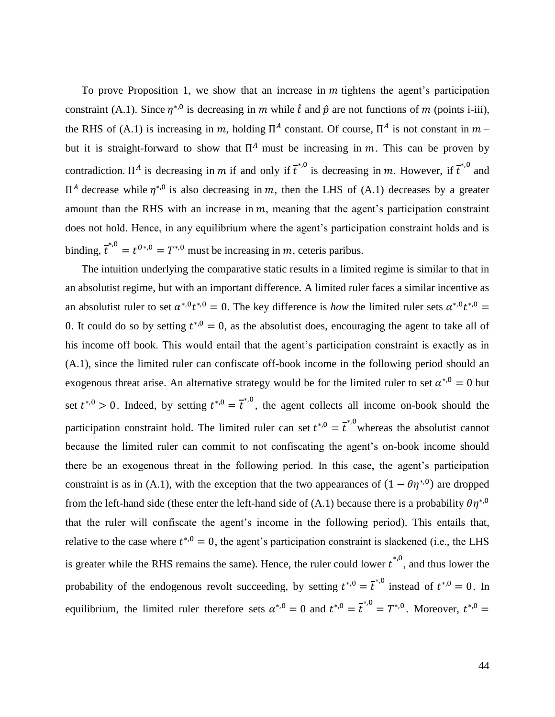To prove Proposition 1, we show that an increase in  *tightens the agent's participation* constraint (A.1). Since  $\eta^{*,0}$  is decreasing in m while  $\hat{t}$  and  $\hat{p}$  are not functions of m (points i-iii), the RHS of (A.1) is increasing in m, holding  $\Pi^A$  constant. Of course,  $\Pi^A$  is not constant in m – but it is straight-forward to show that  $\Pi^A$  must be increasing in m. This can be proven by contradiction.  $\Pi^A$  is decreasing in m if and only if  $\overline{t}^{*,0}$  is decreasing in m. However, if  $\overline{t}^{*,0}$  and  $\Pi^A$  decrease while  $\eta^{*,0}$  is also decreasing in m, then the LHS of (A.1) decreases by a greater amount than the RHS with an increase in  $m$ , meaning that the agent's participation constraint does not hold. Hence, in any equilibrium where the agent's participation constraint holds and is binding,  $\overline{t}^{*,0} = t^{0*,0} = T^{*,0}$  must be increasing in m, ceteris paribus.

The intuition underlying the comparative static results in a limited regime is similar to that in an absolutist regime, but with an important difference. A limited ruler faces a similar incentive as an absolutist ruler to set  $\alpha^{*,0}t^{*,0} = 0$ . The key difference is *how* the limited ruler sets  $\alpha^{*,0}t^{*,0} =$ 0. It could do so by setting  $t^{*,0} = 0$ , as the absolutist does, encouraging the agent to take all of his income off book. This would entail that the agent's participation constraint is exactly as in (A.1), since the limited ruler can confiscate off-book income in the following period should an exogenous threat arise. An alternative strategy would be for the limited ruler to set  $\alpha^{*,0} = 0$  but set  $t^{*,0} > 0$ . Indeed, by setting  $t^{*,0} = \overline{t}^{*,0}$ , the agent collects all income on-book should the participation constraint hold. The limited ruler can set  $t^{*,0} = \overline{t}^{*,0}$  whereas the absolutist cannot because the limited ruler can commit to not confiscating the agent's on-book income should there be an exogenous threat in the following period. In this case, the agent's participation constraint is as in (A.1), with the exception that the two appearances of  $(1 - \theta \eta^{*,0})$  are dropped from the left-hand side (these enter the left-hand side of (A.1) because there is a probability  $\theta \eta^{*,0}$ that the ruler will confiscate the agent's income in the following period). This entails that, relative to the case where  $t^{*,0} = 0$ , the agent's participation constraint is slackened (i.e., the LHS is greater while the RHS remains the same). Hence, the ruler could lower  $\overline{t}^{*,0}$ , and thus lower the probability of the endogenous revolt succeeding, by setting  $t^{*,0} = \overline{t}^{*,0}$  instead of  $t^{*,0} = 0$ . In equilibrium, the limited ruler therefore sets  $\alpha^{*,0} = 0$  and  $t^{*,0} = \overline{t}^{*,0} = T^{*,0}$ . Moreover,  $t^{*,0} =$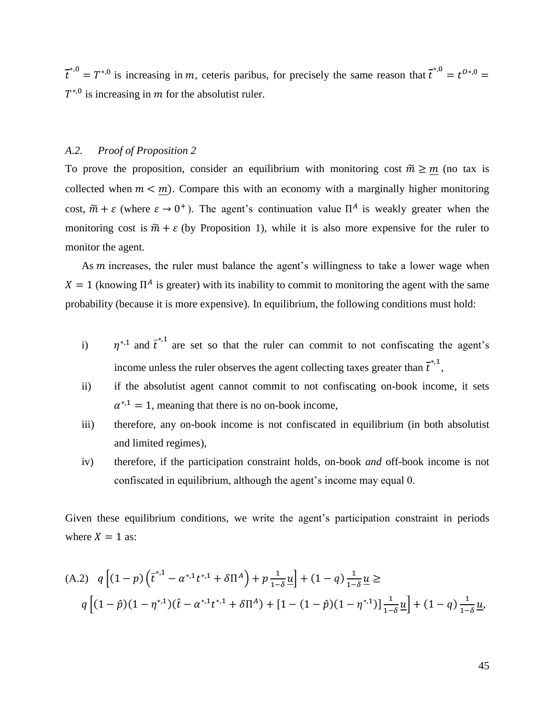$\overline{t}^{*,0} = T^{*,0}$  is increasing in m, ceteris paribus, for precisely the same reason that  $\overline{t}^{*,0} = t^{0*,0} = t^{0}$  $T^{*,0}$  is increasing in m for the absolutist ruler.

#### *A.2. Proof of Proposition 2*

To prove the proposition, consider an equilibrium with monitoring cost  $\tilde{m} \ge m$  (no tax is collected when  $m < m$ ). Compare this with an economy with a marginally higher monitoring cost,  $\tilde{m} + \varepsilon$  (where  $\varepsilon \to 0^+$ ). The agent's continuation value  $\Pi^A$  is weakly greater when the monitoring cost is  $\tilde{m} + \varepsilon$  (by Proposition 1), while it is also more expensive for the ruler to monitor the agent.

As  *increases, the ruler must balance the agent's willingness to take a lower wage when*  $X = 1$  (knowing  $\Pi^A$  is greater) with its inability to commit to monitoring the agent with the same probability (because it is more expensive). In equilibrium, the following conditions must hold:

- i)  $\eta^{*1}$  and  $\overline{t}^{*1}$  are set so that the ruler can commit to not confiscating the agent's income unless the ruler observes the agent collecting taxes greater than  $\overline{t}^{*,1}$ ,
- ii) if the absolutist agent cannot commit to not confiscating on-book income, it sets  $\alpha^{*,1} = 1$ , meaning that there is no on-book income,
- iii) therefore, any on-book income is not confiscated in equilibrium (in both absolutist and limited regimes),
- iv) therefore, if the participation constraint holds, on-book *and* off-book income is not confiscated in equilibrium, although the agent's income may equal 0.

Given these equilibrium conditions, we write the agent's participation constraint in periods where  $X = 1$  as:

(A.2) 
$$
q [(1-p) (\overline{t}^{*,1} - \alpha^{*,1} t^{*,1} + \delta \Pi^A) + p \frac{1}{1-\delta} \underline{u}] + (1-q) \frac{1}{1-\delta} \underline{u} \ge
$$
  
 $q [(1-\hat{p})(1-\eta^{*,1})(\hat{t} - \alpha^{*,1} t^{*,1} + \delta \Pi^A) + [1 - (1-\hat{p})(1-\eta^{*,1})] \frac{1}{1-\delta} \underline{u}] + (1-q) \frac{1}{1-\delta} \underline{u},$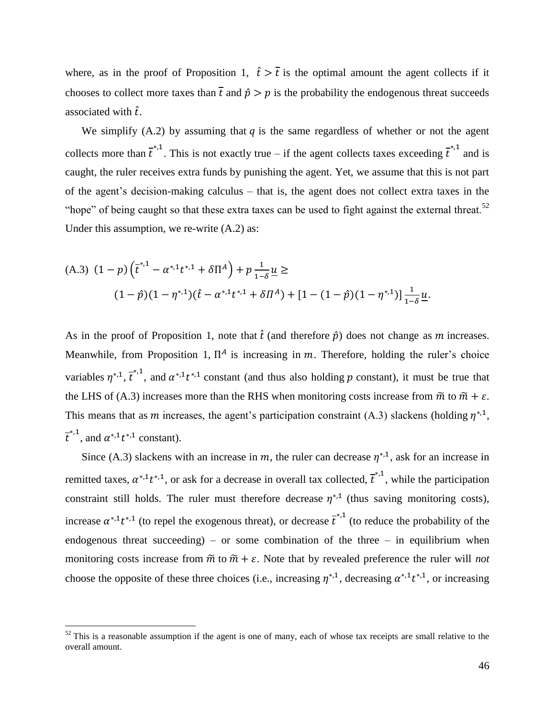where, as in the proof of Proposition 1,  $\hat{t} > \overline{t}$  is the optimal amount the agent collects if it chooses to collect more taxes than  $\bar{t}$  and  $\hat{p} > p$  is the probability the endogenous threat succeeds associated with  $\hat{t}$ .

We simplify (A.2) by assuming that  $q$  is the same regardless of whether or not the agent collects more than  $\overline{t}^{*,1}$ . This is not exactly true – if the agent collects taxes exceeding  $\overline{t}^{*,1}$  and is caught, the ruler receives extra funds by punishing the agent. Yet, we assume that this is not part of the agent's decision-making calculus – that is, the agent does not collect extra taxes in the "hope" of being caught so that these extra taxes can be used to fight against the external threat.<sup>52</sup> Under this assumption, we re-write (A.2) as:

(A.3) 
$$
(1-p)\left(\overline{t}^{*,1} - \alpha^{*,1}t^{*,1} + \delta\Pi^A\right) + p\frac{1}{1-\delta}\underline{u} \ge
$$
  

$$
(1-\hat{p})(1-\eta^{*,1})(\hat{t} - \alpha^{*,1}t^{*,1} + \delta\Pi^A) + [1 - (1-\hat{p})(1-\eta^{*,1})]\frac{1}{1-\delta}\underline{u}.
$$

As in the proof of Proposition 1, note that  $\hat{t}$  (and therefore  $\hat{p}$ ) does not change as *m* increases. Meanwhile, from Proposition 1,  $\Pi^A$  is increasing in m. Therefore, holding the ruler's choice variables  $\eta^{*,1}$ ,  $\overline{t}^{*,1}$ , and  $\alpha^{*,1}t^{*,1}$  constant (and thus also holding p constant), it must be true that the LHS of (A.3) increases more than the RHS when monitoring costs increase from  $\tilde{m}$  to  $\tilde{m} + \varepsilon$ . This means that as *m* increases, the agent's participation constraint (A.3) slackens (holding  $\eta^{*,1}$ ,  $\overline{t}^{*,1}$ , and  $\alpha^{*,1}t^{*,1}$  constant).

Since (A.3) slackens with an increase in m, the ruler can decrease  $\eta^{*,1}$ , ask for an increase in remitted taxes,  $\alpha^{*,1}t^{*,1}$ , or ask for a decrease in overall tax collected,  $\overline{t}^{*,1}$ , while the participation constraint still holds. The ruler must therefore decrease  $\eta^{*1}$  (thus saving monitoring costs), increase  $\alpha^{*,1}t^{*,1}$  (to repel the exogenous threat), or decrease  $\overline{t}^{*,1}$  (to reduce the probability of the endogenous threat succeeding) – or some combination of the three – in equilibrium when monitoring costs increase from  $\tilde{m}$  to  $\tilde{m} + \varepsilon$ . Note that by revealed preference the ruler will *not* choose the opposite of these three choices (i.e., increasing  $\eta^{*,1}$ , decreasing  $\alpha^{*,1}t^{*,1}$ , or increasing

 $52$  This is a reasonable assumption if the agent is one of many, each of whose tax receipts are small relative to the overall amount.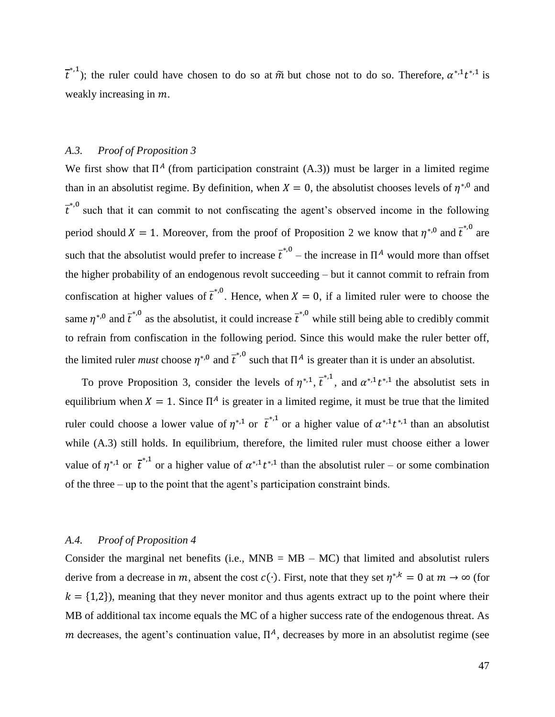$\vec{t}^{*,1}$ ); the ruler could have chosen to do so at  $\tilde{m}$  but chose not to do so. Therefore,  $\alpha^{*,1}t^{*,1}$  is weakly increasing in  $m$ .

#### *A.3. Proof of Proposition 3*

We first show that  $\Pi^A$  (from participation constraint (A.3)) must be larger in a limited regime than in an absolutist regime. By definition, when  $X = 0$ , the absolutist chooses levels of  $\eta^{*,0}$  and  $\overline{t}^{*,0}$  such that it can commit to not confiscating the agent's observed income in the following period should  $X = 1$ . Moreover, from the proof of Proposition 2 we know that  $\eta^{*,0}$  and  $\overline{t}^{*,0}$  are such that the absolutist would prefer to increase  $\bar{t}^{*,0}$  – the increase in  $\Pi^A$  would more than offset the higher probability of an endogenous revolt succeeding – but it cannot commit to refrain from confiscation at higher values of  $\overline{t}^{*,0}$ . Hence, when  $X = 0$ , if a limited ruler were to choose the same  $\eta^{*,0}$  and  $\overline{t}^{*,0}$  as the absolutist, it could increase  $\overline{t}^{*,0}$  while still being able to credibly commit to refrain from confiscation in the following period. Since this would make the ruler better off, the limited ruler *must* choose  $\eta^{*,0}$  and  $\overline{t}^{*,0}$  such that  $\Pi^A$  is greater than it is under an absolutist.

To prove Proposition 3, consider the levels of  $\eta^{*,1}$ ,  $\overline{t}^{*,1}$ , and  $\alpha^{*,1}t^{*,1}$  the absolutist sets in equilibrium when  $X = 1$ . Since  $\Pi^A$  is greater in a limited regime, it must be true that the limited ruler could choose a lower value of  $\eta^{*,1}$  or  $\bar{t}^{*,1}$  or a higher value of  $\alpha^{*,1}t^{*,1}$  than an absolutist while (A.3) still holds. In equilibrium, therefore, the limited ruler must choose either a lower value of  $\eta^{*,1}$  or  $\overline{t}^{*,1}$  or a higher value of  $\alpha^{*,1} t^{*,1}$  than the absolutist ruler – or some combination of the three – up to the point that the agent's participation constraint binds.

#### *A.4. Proof of Proposition 4*

Consider the marginal net benefits (i.e.,  $MNB = MB - MC$ ) that limited and absolutist rulers derive from a decrease in m, absent the cost  $c(\cdot)$ . First, note that they set  $\eta^{*,k} = 0$  at  $m \to \infty$  (for  $k = \{1,2\}$ , meaning that they never monitor and thus agents extract up to the point where their MB of additional tax income equals the MC of a higher success rate of the endogenous threat. As m decreases, the agent's continuation value,  $\Pi^A$ , decreases by more in an absolutist regime (see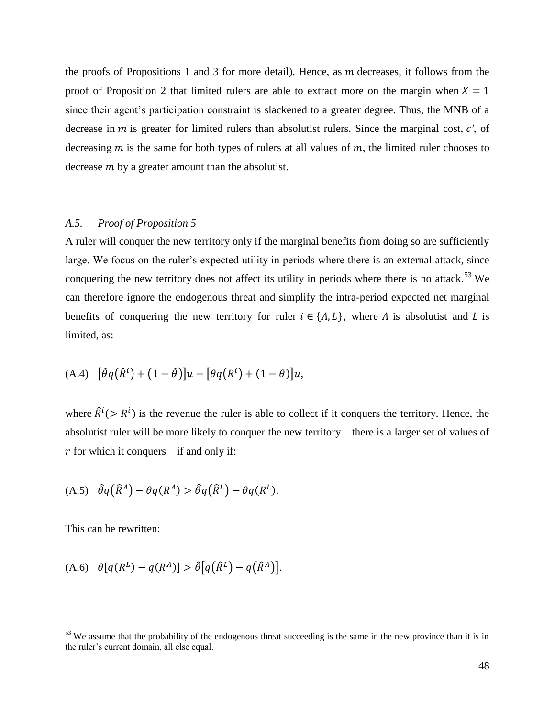the proofs of Propositions 1 and 3 for more detail). Hence, as  $m$  decreases, it follows from the proof of Proposition 2 that limited rulers are able to extract more on the margin when  $X = 1$ since their agent's participation constraint is slackened to a greater degree. Thus, the MNB of a decrease in  $m$  is greater for limited rulers than absolutist rulers. Since the marginal cost,  $c'$ , of decreasing  $m$  is the same for both types of rulers at all values of  $m$ , the limited ruler chooses to decrease  $m$  by a greater amount than the absolutist.

#### *A.5. Proof of Proposition 5*

A ruler will conquer the new territory only if the marginal benefits from doing so are sufficiently large. We focus on the ruler's expected utility in periods where there is an external attack, since conquering the new territory does not affect its utility in periods where there is no attack.<sup>53</sup> We can therefore ignore the endogenous threat and simplify the intra-period expected net marginal benefits of conquering the new territory for ruler  $i \in \{A, L\}$ , where A is absolutist and L is limited, as:

(A.4) 
$$
[\hat{\theta}q(\hat{R}^{i}) + (1 - \hat{\theta})]u - [\theta q(R^{i}) + (1 - \theta)]u,
$$

where  $\hat{R}^i$  (>  $R^i$ ) is the revenue the ruler is able to collect if it conquers the territory. Hence, the absolutist ruler will be more likely to conquer the new territory – there is a larger set of values of  $r$  for which it conquers – if and only if:

(A.5) 
$$
\hat{\theta}q(\hat{R}^A) - \theta q(R^A) > \hat{\theta}q(\hat{R}^L) - \theta q(R^L).
$$

This can be rewritten:

(A.6) 
$$
\theta[q(R^L) - q(R^A)] > \hat{\theta}[q(\hat{R}^L) - q(\hat{R}^A)].
$$

 $53$  We assume that the probability of the endogenous threat succeeding is the same in the new province than it is in the ruler's current domain, all else equal.